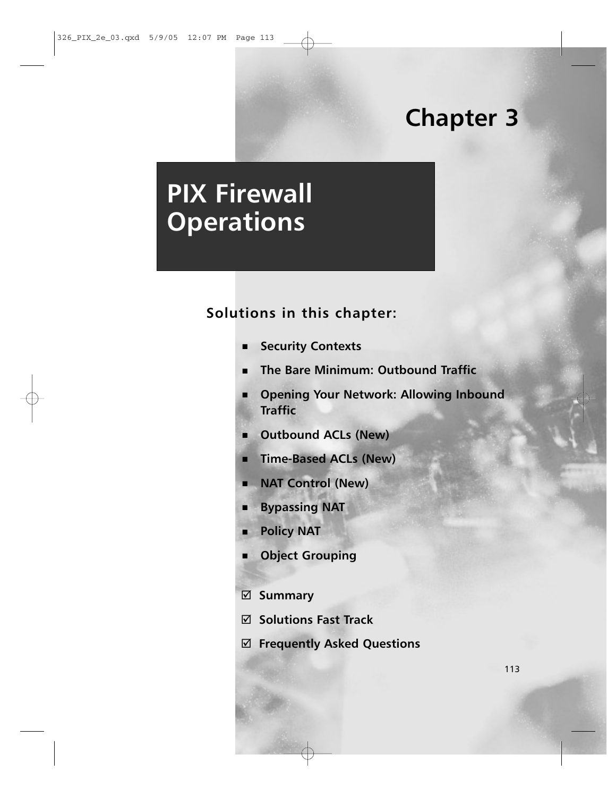# **Chapter 3**

# **PIX Firewall Operations**

### **Solutions in this chapter:**

- **Security Contexts**
- **The Bare Minimum: Outbound Traffic**
- **Opening Your Network: Allowing Inbound Traffic**
- **Outbound ACLs (New)**
- **Time-Based ACLs (New)**
- **NAT Control (New)**
- **Bypassing NAT**
- **Policy NAT**
- **Object Grouping**
- **Summary**
- **Solutions Fast Track**
- **Frequently Asked Questions**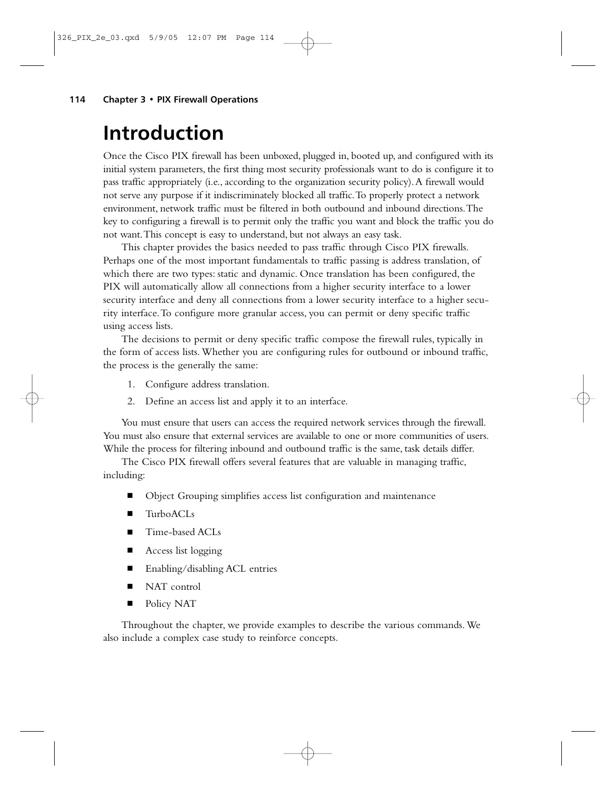## **Introduction**

Once the Cisco PIX firewall has been unboxed, plugged in, booted up, and configured with its initial system parameters, the first thing most security professionals want to do is configure it to pass traffic appropriately (i.e., according to the organization security policy).A firewall would not serve any purpose if it indiscriminately blocked all traffic.To properly protect a network environment, network traffic must be filtered in both outbound and inbound directions.The key to configuring a firewall is to permit only the traffic you want and block the traffic you do not want.This concept is easy to understand, but not always an easy task.

This chapter provides the basics needed to pass traffic through Cisco PIX firewalls. Perhaps one of the most important fundamentals to traffic passing is address translation, of which there are two types: static and dynamic. Once translation has been configured, the PIX will automatically allow all connections from a higher security interface to a lower security interface and deny all connections from a lower security interface to a higher security interface.To configure more granular access, you can permit or deny specific traffic using access lists.

The decisions to permit or deny specific traffic compose the firewall rules, typically in the form of access lists. Whether you are configuring rules for outbound or inbound traffic, the process is the generally the same:

- 1. Configure address translation.
- 2. Define an access list and apply it to an interface.

You must ensure that users can access the required network services through the firewall. You must also ensure that external services are available to one or more communities of users. While the process for filtering inbound and outbound traffic is the same, task details differ.

The Cisco PIX firewall offers several features that are valuable in managing traffic, including:

- Object Grouping simplifies access list configuration and maintenance
- TurboACLs
- Time-based ACLs
- Access list logging
- Enabling/disabling ACL entries
- NAT control
- Policy NAT

Throughout the chapter, we provide examples to describe the various commands. We also include a complex case study to reinforce concepts.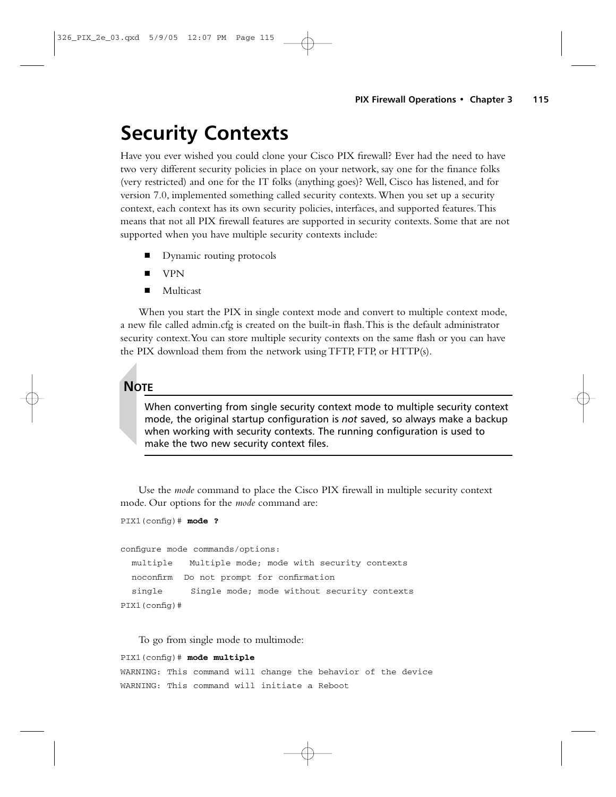# **Security Contexts**

Have you ever wished you could clone your Cisco PIX firewall? Ever had the need to have two very different security policies in place on your network, say one for the finance folks (very restricted) and one for the IT folks (anything goes)? Well, Cisco has listened, and for version 7.0, implemented something called security contexts. When you set up a security context, each context has its own security policies, interfaces, and supported features.This means that not all PIX firewall features are supported in security contexts. Some that are not supported when you have multiple security contexts include:

- Dynamic routing protocols
- VPN
- Multicast

When you start the PIX in single context mode and convert to multiple context mode, a new file called admin.cfg is created on the built-in flash.This is the default administrator security context.You can store multiple security contexts on the same flash or you can have the PIX download them from the network using TFTP, FTP, or HTTP(s).

#### **NOTE**

When converting from single security context mode to multiple security context mode, the original startup configuration is *not* saved, so always make a backup when working with security contexts. The running configuration is used to make the two new security context files.

Use the *mode* command to place the Cisco PIX firewall in multiple security context mode. Our options for the *mode* command are:

```
PIX1(config)# mode ?
```

```
configure mode commands/options:
  multiple Multiple mode; mode with security contexts
  noconfirm Do not prompt for confirmation
  single Single mode; mode without security contexts
PIX1(config)#
```
To go from single mode to multimode:

```
PIX1(config)# mode multiple
WARNING: This command will change the behavior of the device
WARNING: This command will initiate a Reboot
```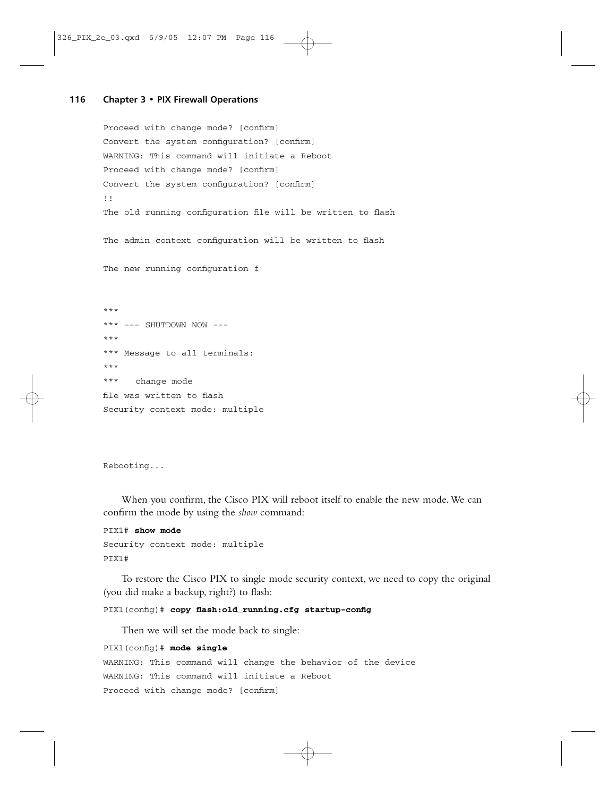#### **116 Chapter 3 • PIX Firewall Operations**

```
Proceed with change mode? [confirm] 
Convert the system configuration? [confirm]
WARNING: This command will initiate a Reboot
Proceed with change mode? [confirm]
Convert the system configuration? [confirm]
!!
The old running configuration file will be written to flash
The admin context configuration will be written to flash
The new running configuration f
***
*** --- SHUTDOWN NOW ---
***
*** Message to all terminals:
***
*** change mode
file was written to flash
Security context mode: multiple
```
Rebooting...

When you confirm, the Cisco PIX will reboot itself to enable the new mode. We can confirm the mode by using the *show* command:

```
PIX1# show mode
Security context mode: multiple
PIX1#
```
To restore the Cisco PIX to single mode security context, we need to copy the original (you did make a backup, right?) to flash:

PIX1(config)# **copy flash:old\_running.cfg startup-config**

Then we will set the mode back to single:

```
PIX1(config)# mode single
WARNING: This command will change the behavior of the device
WARNING: This command will initiate a Reboot
Proceed with change mode? [confirm]
```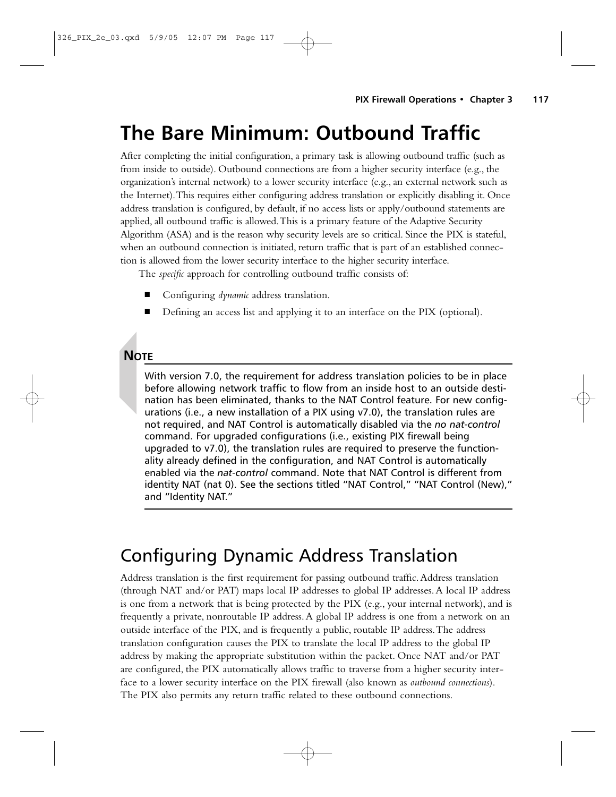## **The Bare Minimum: Outbound Traffic**

After completing the initial configuration, a primary task is allowing outbound traffic (such as from inside to outside). Outbound connections are from a higher security interface (e.g., the organization's internal network) to a lower security interface (e.g., an external network such as the Internet).This requires either configuring address translation or explicitly disabling it. Once address translation is configured, by default, if no access lists or apply/outbound statements are applied, all outbound traffic is allowed.This is a primary feature of the Adaptive Security Algorithm (ASA) and is the reason why security levels are so critical. Since the PIX is stateful, when an outbound connection is initiated, return traffic that is part of an established connection is allowed from the lower security interface to the higher security interface.

The *specific* approach for controlling outbound traffic consists of:

- Configuring *dynamic* address translation.
- Defining an access list and applying it to an interface on the PIX (optional).

### **NOTE**

With version 7.0, the requirement for address translation policies to be in place before allowing network traffic to flow from an inside host to an outside destination has been eliminated, thanks to the NAT Control feature. For new configurations (i.e., a new installation of a PIX using v7.0), the translation rules are not required, and NAT Control is automatically disabled via the *no nat-control* command. For upgraded configurations (i.e., existing PIX firewall being upgraded to v7.0), the translation rules are required to preserve the functionality already defined in the configuration, and NAT Control is automatically enabled via the *nat-control* command. Note that NAT Control is different from identity NAT (nat 0). See the sections titled "NAT Control," "NAT Control (New)," and "Identity NAT."

## Configuring Dynamic Address Translation

Address translation is the first requirement for passing outbound traffic.Address translation (through NAT and/or PAT) maps local IP addresses to global IP addresses.A local IP address is one from a network that is being protected by the PIX (e.g., your internal network), and is frequently a private, nonroutable IP address.A global IP address is one from a network on an outside interface of the PIX, and is frequently a public, routable IP address.The address translation configuration causes the PIX to translate the local IP address to the global IP address by making the appropriate substitution within the packet. Once NAT and/or PAT are configured, the PIX automatically allows traffic to traverse from a higher security interface to a lower security interface on the PIX firewall (also known as *outbound connections*). The PIX also permits any return traffic related to these outbound connections.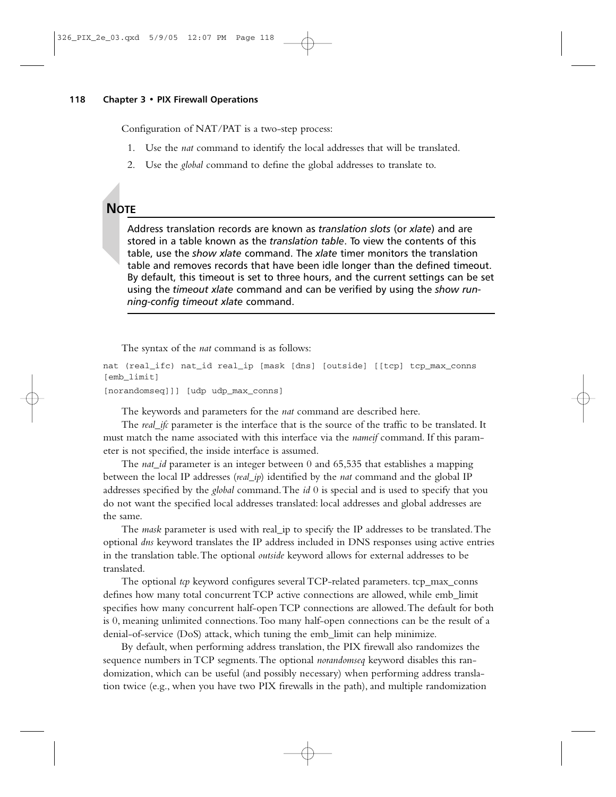Configuration of NAT/PAT is a two-step process:

- 1. Use the *nat* command to identify the local addresses that will be translated.
- 2. Use the *global* command to define the global addresses to translate to.

#### **NOTE**

Address translation records are known as *translation slots* (or *xlate*) and are stored in a table known as the *translation table*. To view the contents of this table, use the *show xlate* command. The *xlate* timer monitors the translation table and removes records that have been idle longer than the defined timeout. By default, this timeout is set to three hours, and the current settings can be set using the *timeout xlate* command and can be verified by using the *show running-config timeout xlate* command.

The syntax of the *nat* command is as follows:

```
nat (real_ifc) nat_id real_ip [mask [dns] [outside] [[tcp] tcp_max_conns
[emb_limit]
[norandomseq]]] [udp udp_max_conns]
```
The keywords and parameters for the *nat* command are described here.

The *real\_ifc* parameter is the interface that is the source of the traffic to be translated. It must match the name associated with this interface via the *nameif* command. If this parameter is not specified, the inside interface is assumed.

The *nat id* parameter is an integer between 0 and 65,535 that establishes a mapping between the local IP addresses (*real\_ip*) identified by the *nat* command and the global IP addresses specified by the *global* command.The *id* 0 is special and is used to specify that you do not want the specified local addresses translated: local addresses and global addresses are the same.

The *mask* parameter is used with real\_ip to specify the IP addresses to be translated.The optional *dns* keyword translates the IP address included in DNS responses using active entries in the translation table.The optional *outside* keyword allows for external addresses to be translated.

The optional *tcp* keyword configures several TCP-related parameters. tcp\_max\_conns defines how many total concurrent TCP active connections are allowed, while emb\_limit specifies how many concurrent half-open TCP connections are allowed.The default for both is 0, meaning unlimited connections.Too many half-open connections can be the result of a denial-of-service (DoS) attack, which tuning the emb\_limit can help minimize.

By default, when performing address translation, the PIX firewall also randomizes the sequence numbers in TCP segments.The optional *norandomseq* keyword disables this randomization, which can be useful (and possibly necessary) when performing address translation twice (e.g., when you have two PIX firewalls in the path), and multiple randomization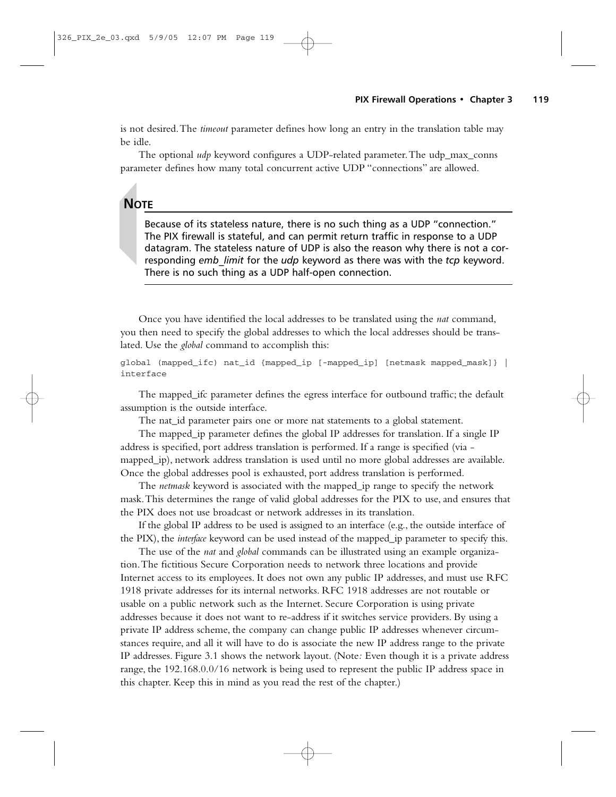is not desired.The *timeout* parameter defines how long an entry in the translation table may be idle.

The optional *udp* keyword configures a UDP-related parameter. The udp\_max\_conns parameter defines how many total concurrent active UDP "connections" are allowed.

### **NOTE**

Because of its stateless nature, there is no such thing as a UDP "connection." The PIX firewall is stateful, and can permit return traffic in response to a UDP datagram. The stateless nature of UDP is also the reason why there is not a corresponding *emb\_limit* for the *udp* keyword as there was with the *tcp* keyword. There is no such thing as a UDP half-open connection.

Once you have identified the local addresses to be translated using the *nat* command, you then need to specify the global addresses to which the local addresses should be translated. Use the *global* command to accomplish this:

global (mapped\_ifc) nat\_id {mapped\_ip [-mapped\_ip] [netmask mapped\_mask]} | interface

The mapped\_ifc parameter defines the egress interface for outbound traffic; the default assumption is the outside interface.

The nat\_id parameter pairs one or more nat statements to a global statement.

The mapped\_ip parameter defines the global IP addresses for translation. If a single IP address is specified, port address translation is performed. If a range is specified (via mapped ip), network address translation is used until no more global addresses are available. Once the global addresses pool is exhausted, port address translation is performed.

The *netmask* keyword is associated with the mapped\_ip range to specify the network mask.This determines the range of valid global addresses for the PIX to use, and ensures that the PIX does not use broadcast or network addresses in its translation.

If the global IP address to be used is assigned to an interface (e.g., the outside interface of the PIX), the *interface* keyword can be used instead of the mapped\_ip parameter to specify this.

The use of the *nat* and *global* commands can be illustrated using an example organization.The fictitious Secure Corporation needs to network three locations and provide Internet access to its employees. It does not own any public IP addresses, and must use RFC 1918 private addresses for its internal networks. RFC 1918 addresses are not routable or usable on a public network such as the Internet. Secure Corporation is using private addresses because it does not want to re-address if it switches service providers. By using a private IP address scheme, the company can change public IP addresses whenever circumstances require, and all it will have to do is associate the new IP address range to the private IP addresses. Figure 3.1 shows the network layout. (Note*:* Even though it is a private address range, the 192.168.0.0/16 network is being used to represent the public IP address space in this chapter. Keep this in mind as you read the rest of the chapter.)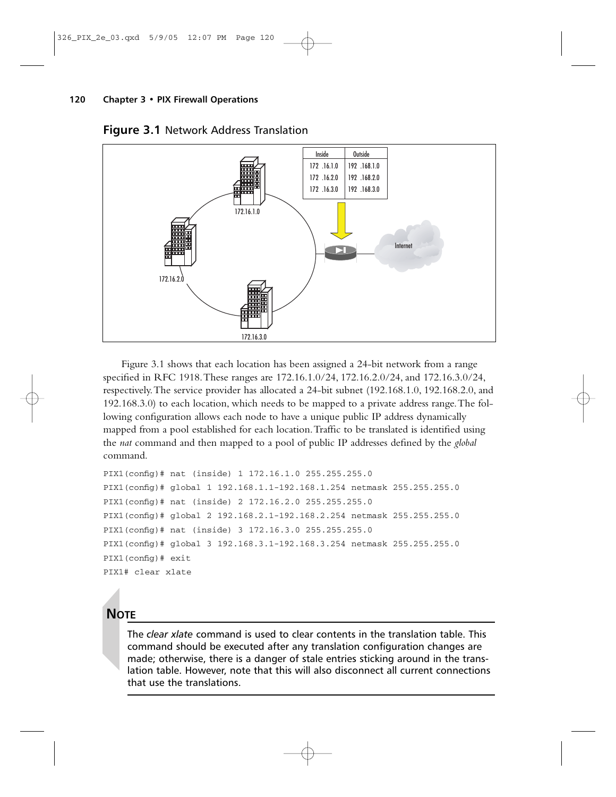

**Figure 3.1** Network Address Translation

Figure 3.1 shows that each location has been assigned a 24-bit network from a range specified in RFC 1918.These ranges are 172.16.1.0/24, 172.16.2.0/24, and 172.16.3.0/24, respectively.The service provider has allocated a 24-bit subnet (192.168.1.0, 192.168.2.0, and 192.168.3.0) to each location, which needs to be mapped to a private address range.The following configuration allows each node to have a unique public IP address dynamically mapped from a pool established for each location.Traffic to be translated is identified using the *nat* command and then mapped to a pool of public IP addresses defined by the *global* command.

```
PIX1(config)# nat (inside) 1 172.16.1.0 255.255.255.0
PIX1(config)# global 1 192.168.1.1-192.168.1.254 netmask 255.255.255.0 
PIX1(config)# nat (inside) 2 172.16.2.0 255.255.255.0
PIX1(config)# global 2 192.168.2.1-192.168.2.254 netmask 255.255.255.0 
PIX1(config)# nat (inside) 3 172.16.3.0 255.255.255.0
PIX1(config)# global 3 192.168.3.1-192.168.3.254 netmask 255.255.255.0 
PIX1(config)# exit
PIX1# clear xlate
```
#### **NOTE**

The *clear xlate* command is used to clear contents in the translation table. This command should be executed after any translation configuration changes are made; otherwise, there is a danger of stale entries sticking around in the translation table. However, note that this will also disconnect all current connections that use the translations.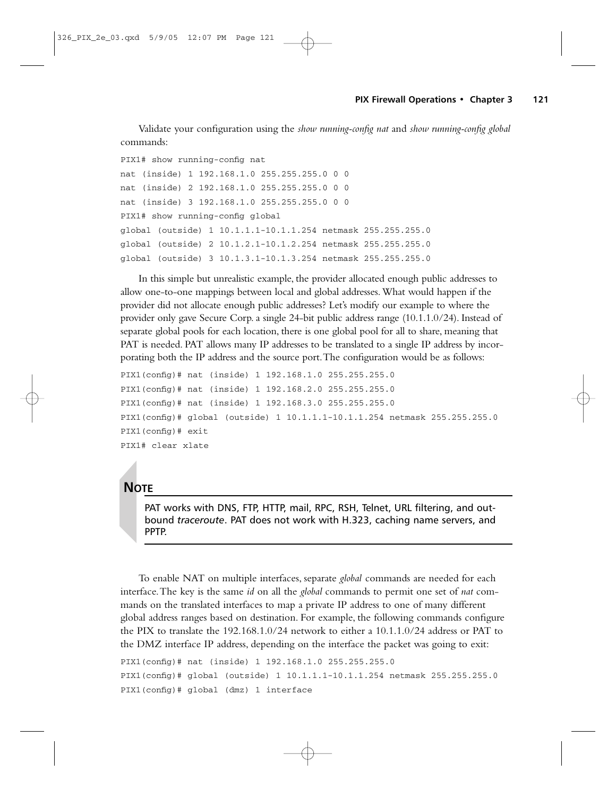Validate your configuration using the *show running-config nat* and *show running-config global* commands:

```
PIX1# show running-config nat
nat (inside) 1 192.168.1.0 255.255.255.0 0 0
nat (inside) 2 192.168.1.0 255.255.255.0 0 0
nat (inside) 3 192.168.1.0 255.255.255.0 0 0
PIX1# show running-config global 
global (outside) 1 10.1.1.1-10.1.1.254 netmask 255.255.255.0
global (outside) 2 10.1.2.1-10.1.2.254 netmask 255.255.255.0
global (outside) 3 10.1.3.1-10.1.3.254 netmask 255.255.255.0
```
In this simple but unrealistic example, the provider allocated enough public addresses to allow one-to-one mappings between local and global addresses.What would happen if the provider did not allocate enough public addresses? Let's modify our example to where the provider only gave Secure Corp. a single 24-bit public address range (10.1.1.0/24). Instead of separate global pools for each location, there is one global pool for all to share, meaning that PAT is needed. PAT allows many IP addresses to be translated to a single IP address by incorporating both the IP address and the source port.The configuration would be as follows:

```
PIX1(config)# nat (inside) 1 192.168.1.0 255.255.255.0
PIX1(config)# nat (inside) 1 192.168.2.0 255.255.255.0
PIX1(config)# nat (inside) 1 192.168.3.0 255.255.255.0
PIX1(config)# global (outside) 1 10.1.1.1-10.1.1.254 netmask 255.255.255.0
PIX1(config)# exit
PIX1# clear xlate
```
#### **NOTE**

PAT works with DNS, FTP, HTTP, mail, RPC, RSH, Telnet, URL filtering, and outbound *traceroute*. PAT does not work with H.323, caching name servers, and PPTP.

To enable NAT on multiple interfaces, separate *global* commands are needed for each interface.The key is the same *id* on all the *global* commands to permit one set of *nat* commands on the translated interfaces to map a private IP address to one of many different global address ranges based on destination. For example, the following commands configure the PIX to translate the 192.168.1.0/24 network to either a 10.1.1.0/24 address or PAT to the DMZ interface IP address, depending on the interface the packet was going to exit:

```
PIX1(config)# nat (inside) 1 192.168.1.0 255.255.255.0
PIX1(config)# global (outside) 1 10.1.1.1-10.1.1.254 netmask 255.255.255.0
PIX1(config)# global (dmz) 1 interface
```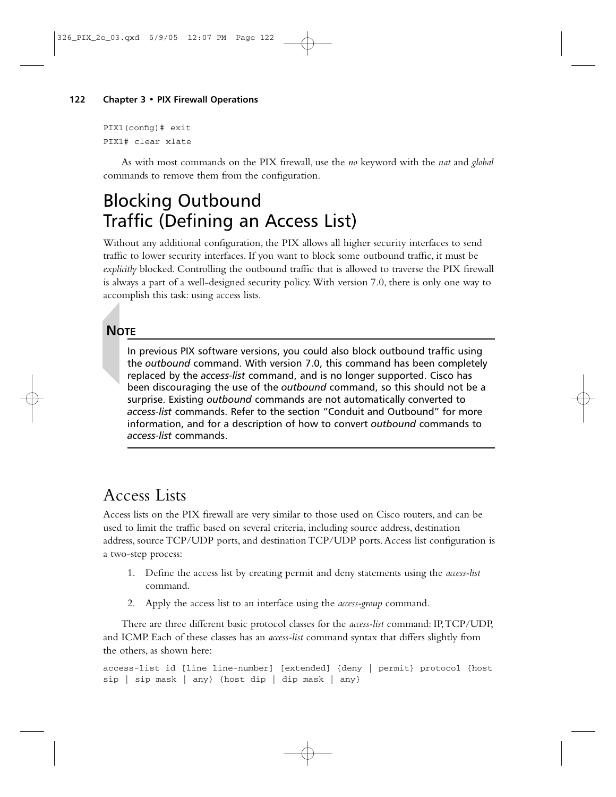$PIX1$ (config)# exit PIX1# clear xlate

As with most commands on the PIX firewall, use the *no* keyword with the *nat* and *global* commands to remove them from the configuration.

## Blocking Outbound Traffic (Defining an Access List)

Without any additional configuration, the PIX allows all higher security interfaces to send traffic to lower security interfaces. If you want to block some outbound traffic, it must be *explicitly* blocked. Controlling the outbound traffic that is allowed to traverse the PIX firewall is always a part of a well-designed security policy. With version 7.0, there is only one way to accomplish this task: using access lists.

#### **NOTE**

In previous PIX software versions, you could also block outbound traffic using the *outbound* command. With version 7.0, this command has been completely replaced by the *access-list* command, and is no longer supported. Cisco has been discouraging the use of the *outbound* command, so this should not be a surprise. Existing *outbound* commands are not automatically converted to *access-list* commands. Refer to the section "Conduit and Outbound" for more information, and for a description of how to convert *outbound* commands to *access-list* commands.

### Access Lists

Access lists on the PIX firewall are very similar to those used on Cisco routers, and can be used to limit the traffic based on several criteria, including source address, destination address, source TCP/UDP ports, and destination TCP/UDP ports.Access list configuration is a two-step process:

- 1. Define the access list by creating permit and deny statements using the *access-list* command.
- 2. Apply the access list to an interface using the *access-group* command.

There are three different basic protocol classes for the *access-list* command: IP,TCP/UDP, and ICMP. Each of these classes has an *access-list* command syntax that differs slightly from the others, as shown here:

access-list id [line line-number] [extended] {deny | permit} protocol {host sip | sip mask | any} {host dip | dip mask | any}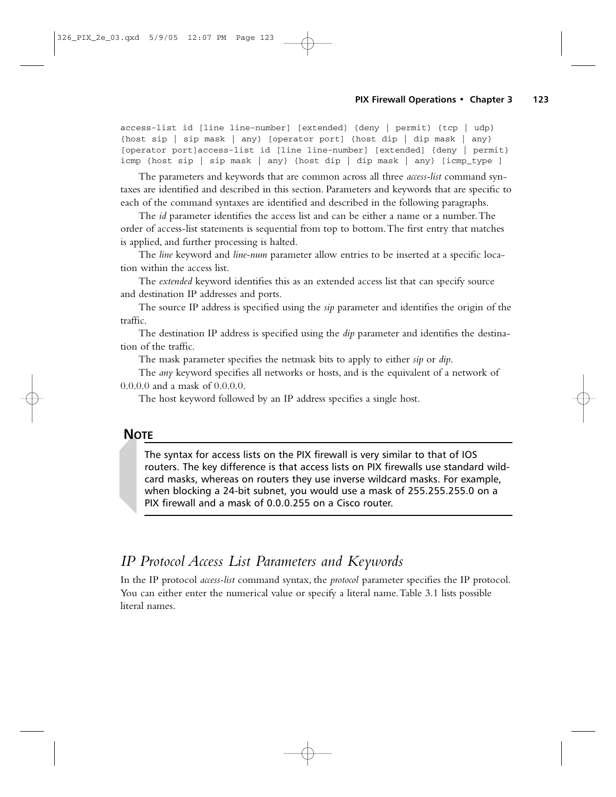access-list id [line line-number] [extended] {deny | permit} {tcp | udp} {host sip | sip mask | any} [operator port] {host dip | dip mask | any} [operator port]access-list id [line line-number] [extended] {deny | permit} icmp {host sip | sip mask | any} {host dip | dip mask | any} [icmp\_type ]

The parameters and keywords that are common across all three *access-list* command syntaxes are identified and described in this section. Parameters and keywords that are specific to each of the command syntaxes are identified and described in the following paragraphs.

The *id* parameter identifies the access list and can be either a name or a number.The order of access-list statements is sequential from top to bottom.The first entry that matches is applied, and further processing is halted.

The *line* keyword and *line-num* parameter allow entries to be inserted at a specific location within the access list.

The *extended* keyword identifies this as an extended access list that can specify source and destination IP addresses and ports.

The source IP address is specified using the *sip* parameter and identifies the origin of the traffic.

The destination IP address is specified using the *dip* parameter and identifies the destination of the traffic.

The mask parameter specifies the netmask bits to apply to either *sip* or *dip*.

The *any* keyword specifies all networks or hosts, and is the equivalent of a network of 0.0.0.0 and a mask of 0.0.0.0.

The host keyword followed by an IP address specifies a single host.

#### **NOTE**

The syntax for access lists on the PIX firewall is very similar to that of IOS routers. The key difference is that access lists on PIX firewalls use standard wildcard masks, whereas on routers they use inverse wildcard masks. For example, when blocking a 24-bit subnet, you would use a mask of 255.255.255.0 on a PIX firewall and a mask of 0.0.0.255 on a Cisco router.

### *IP Protocol Access List Parameters and Keywords*

In the IP protocol *access-list* command syntax, the *protocol* parameter specifies the IP protocol. You can either enter the numerical value or specify a literal name.Table 3.1 lists possible literal names.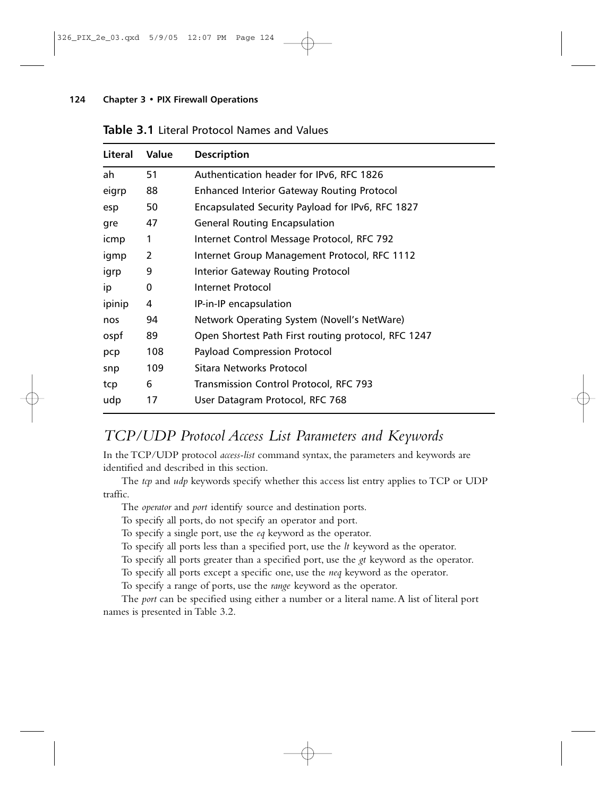| Literal | Value | <b>Description</b>                                  |
|---------|-------|-----------------------------------------------------|
| ah      | 51    | Authentication header for IPv6, RFC 1826            |
| eigrp   | 88    | <b>Enhanced Interior Gateway Routing Protocol</b>   |
| esp     | 50    | Encapsulated Security Payload for IPv6, RFC 1827    |
| gre     | 47    | <b>General Routing Encapsulation</b>                |
| icmp    | 1     | Internet Control Message Protocol, RFC 792          |
| igmp    | 2     | Internet Group Management Protocol, RFC 1112        |
| igrp    | 9     | Interior Gateway Routing Protocol                   |
| Ip      | 0     | Internet Protocol                                   |
| ipinip  | 4     | IP-in-IP encapsulation                              |
| nos     | 94    | Network Operating System (Novell's NetWare)         |
| ospf    | 89    | Open Shortest Path First routing protocol, RFC 1247 |
| pcp     | 108   | Payload Compression Protocol                        |
| snp     | 109   | Sitara Networks Protocol                            |
| tcp     | 6     | Transmission Control Protocol, RFC 793              |
| udp     | 17    | User Datagram Protocol, RFC 768                     |

**Table 3.1** Literal Protocol Names and Values

### *TCP/UDP Protocol Access List Parameters and Keywords*

In the TCP/UDP protocol *access-list* command syntax, the parameters and keywords are identified and described in this section.

The *tcp* and *udp* keywords specify whether this access list entry applies to TCP or UDP traffic.

The *operator* and *port* identify source and destination ports.

To specify all ports, do not specify an operator and port.

To specify a single port, use the *eq* keyword as the operator.

To specify all ports less than a specified port, use the *lt* keyword as the operator.

To specify all ports greater than a specified port, use the *gt* keyword as the operator.

To specify all ports except a specific one, use the *neq* keyword as the operator.

To specify a range of ports, use the *range* keyword as the operator.

The *port* can be specified using either a number or a literal name.A list of literal port names is presented in Table 3.2.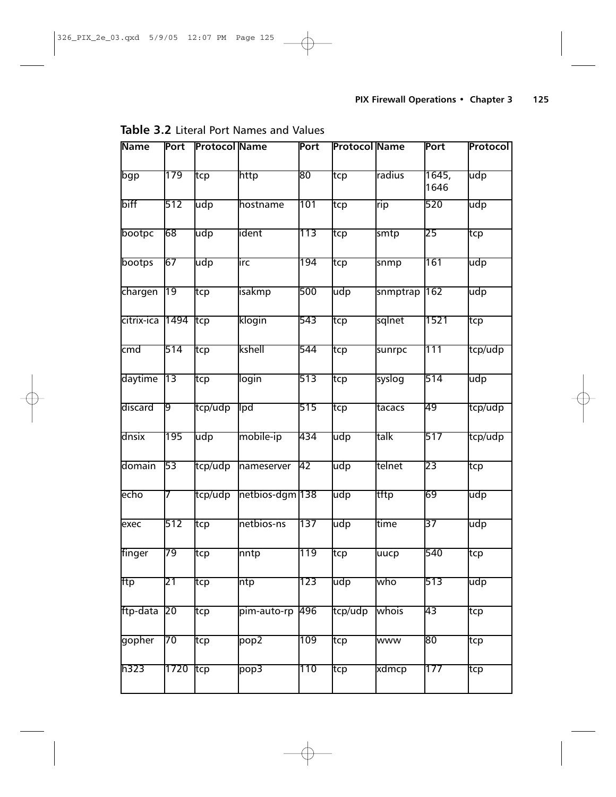| Name           | Port | <b>Protocol Name</b> |                            | Port | <b>Protocol Name</b> |              | Port          | Protocol |
|----------------|------|----------------------|----------------------------|------|----------------------|--------------|---------------|----------|
| bgp            | 179  | tcp                  | http                       | 80   | tcp                  | radius       | 1645,<br>1646 | udp      |
| biff           | 512  | udp                  | hostname                   | 101  | tcp                  | rip          | 520           | udp      |
| bootpc         | 68   | udp                  | ident                      | 113  | tcp                  | smtp         | 25            | tcp      |
| bootps         | 67   | udp                  | irc                        | 194  | tcp                  | snmp         | 161           | udp      |
| chargen        | 19   | tcp                  | <i>isakmp</i>              | 500  | udp                  | snmptrap     | 162           | udp      |
| citrix-ica     | 1494 | tcp                  | klogin                     | 543  | tcp                  | sqlnet       | 1521          | tcp      |
| $\mathsf{cmd}$ | 514  | tcp                  | kshell                     | 544  | tcp                  | sunrpc       | 111           | tcp/udp  |
| daytime        | 13   | tcp                  | login                      | 513  | tcp                  | syslog       | 514           | udp      |
| discard        | 9    | tcp/udp              | lpd                        | 515  | tcp                  | tacacs       | 49            | tcp/udp  |
| dnsix          | 195  | udp                  | mobile-ip                  | 434  | udp                  | talk         | 517           | tcp/udp  |
| domain         | 53   | tcp/udp              | nameserver                 | 42   | udp                  | telnet       | 23            | tcp      |
| echo           | 7    | tcp/udp              | netbios-dgm <sup>138</sup> |      | udp                  | tftp         | 69            | udp      |
| exec           | 512  | tcp                  | netbios-ns                 | 137  | udp                  | time         | 37            | udp      |
| finger         | 79   | tcp                  | nntp                       | 119  | tcp                  | uucp         | 540           | tcp      |
| ftp            | 21   | tcp                  | ntp                        | 123  | udp                  | who          | 513           | udp      |
| ftp-data       | 20   | tcp                  | pim-auto-rp                | 496  | tcp/udp              | <b>whois</b> | 43            | tcp      |
| gopher         | 70   | tcp                  | pop2                       | 109  | tcp                  | www          | 80            | tcp      |
| h323           | 1720 | tcp                  | pop3                       | 110  | tcp                  | xdmcp        | 177           | tcp      |

**Table 3.2** Literal Port Names and Values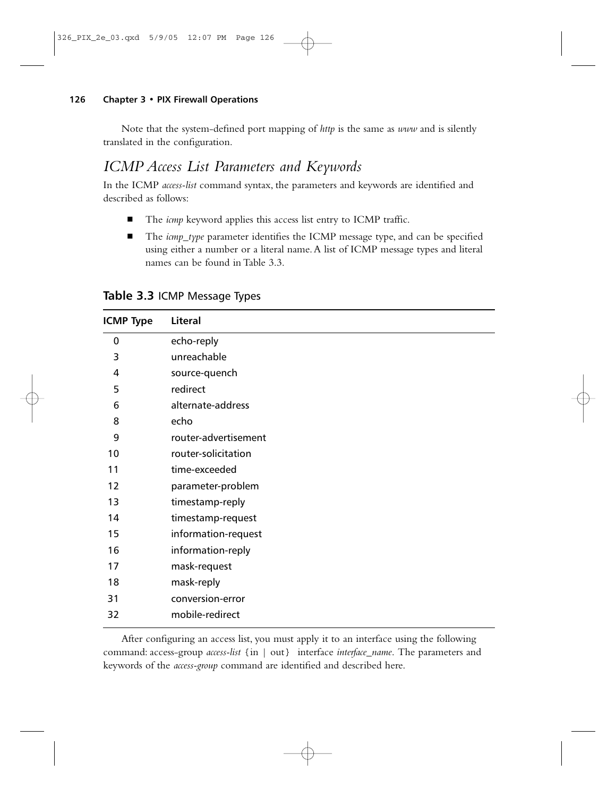Note that the system-defined port mapping of *http* is the same as *www* and is silently translated in the configuration.

### *ICMP Access List Parameters and Keywords*

In the ICMP *access-list* command syntax, the parameters and keywords are identified and described as follows:

- The *icmp* keyword applies this access list entry to ICMP traffic.
- The *icmp\_type* parameter identifies the ICMP message type, and can be specified using either a number or a literal name.A list of ICMP message types and literal names can be found in Table 3.3.

| <b>ICMP Type</b> | <b>Literal</b>       |
|------------------|----------------------|
| 0                | echo-reply           |
| 3                | unreachable          |
| 4                | source-quench        |
| 5                | redirect             |
| 6                | alternate-address    |
| 8                | echo                 |
| 9                | router-advertisement |
| 10               | router-solicitation  |
| 11               | time-exceeded        |
| 12               | parameter-problem    |
| 13               | timestamp-reply      |
| 14               | timestamp-request    |
| 15               | information-request  |
| 16               | information-reply    |
| 17               | mask-request         |
| 18               | mask-reply           |
| 31               | conversion-error     |
| 32               | mobile-redirect      |

**Table 3.3** ICMP Message Types

After configuring an access list, you must apply it to an interface using the following command: access-group *access-list* {in | out} interface *interface\_name*. The parameters and keywords of the *access-group* command are identified and described here.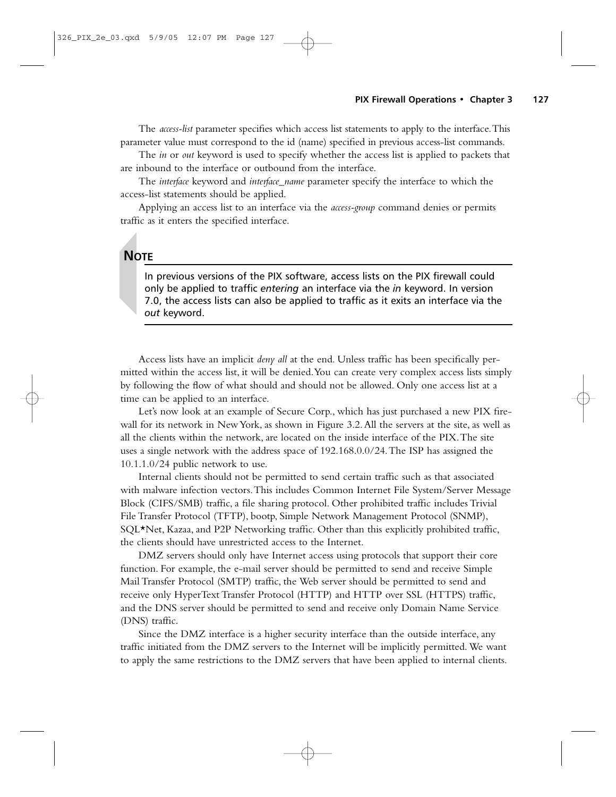The *access-list* parameter specifies which access list statements to apply to the interface.This parameter value must correspond to the id (name) specified in previous access-list commands.

The *in* or *out* keyword is used to specify whether the access list is applied to packets that are inbound to the interface or outbound from the interface.

The *interface* keyword and *interface\_name* parameter specify the interface to which the access-list statements should be applied.

Applying an access list to an interface via the *access-group* command denies or permits traffic as it enters the specified interface.

### **NOTE**

In previous versions of the PIX software, access lists on the PIX firewall could only be applied to traffic *entering* an interface via the *in* keyword. In version 7.0, the access lists can also be applied to traffic as it exits an interface via the *out* keyword.

Access lists have an implicit *deny all* at the end. Unless traffic has been specifically permitted within the access list, it will be denied.You can create very complex access lists simply by following the flow of what should and should not be allowed. Only one access list at a time can be applied to an interface.

Let's now look at an example of Secure Corp., which has just purchased a new PIX firewall for its network in New York, as shown in Figure 3.2.All the servers at the site, as well as all the clients within the network, are located on the inside interface of the PIX.The site uses a single network with the address space of 192.168.0.0/24.The ISP has assigned the 10.1.1.0/24 public network to use.

Internal clients should not be permitted to send certain traffic such as that associated with malware infection vectors.This includes Common Internet File System/Server Message Block (CIFS/SMB) traffic, a file sharing protocol. Other prohibited traffic includes Trivial File Transfer Protocol (TFTP), bootp, Simple Network Management Protocol (SNMP), SQL\*Net, Kazaa, and P2P Networking traffic. Other than this explicitly prohibited traffic, the clients should have unrestricted access to the Internet.

DMZ servers should only have Internet access using protocols that support their core function. For example, the e-mail server should be permitted to send and receive Simple Mail Transfer Protocol (SMTP) traffic, the Web server should be permitted to send and receive only HyperText Transfer Protocol (HTTP) and HTTP over SSL (HTTPS) traffic, and the DNS server should be permitted to send and receive only Domain Name Service (DNS) traffic.

Since the DMZ interface is a higher security interface than the outside interface, any traffic initiated from the DMZ servers to the Internet will be implicitly permitted. We want to apply the same restrictions to the DMZ servers that have been applied to internal clients.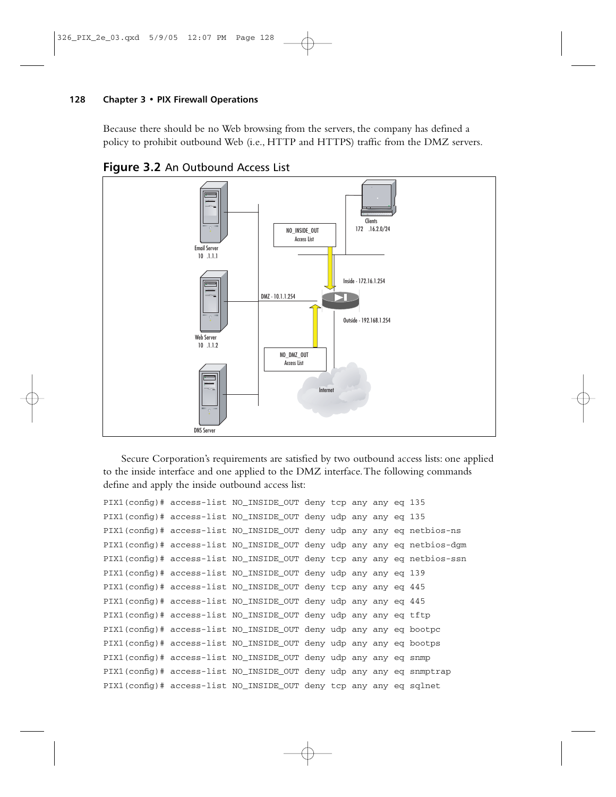Because there should be no Web browsing from the servers, the company has defined a policy to prohibit outbound Web (i.e., HTTP and HTTPS) traffic from the DMZ servers.



**Figure 3.2** An Outbound Access List

Secure Corporation's requirements are satisfied by two outbound access lists: one applied to the inside interface and one applied to the DMZ interface.The following commands define and apply the inside outbound access list:

|  | PIX1(config)# access-list NO_INSIDE_OUT deny tcp any any eq 135         |  |  |  |
|--|-------------------------------------------------------------------------|--|--|--|
|  | PIX1(config)# access-list NO_INSIDE_OUT deny udp any any eq 135         |  |  |  |
|  | PIX1(config)# access-list NO_INSIDE_OUT deny udp any any eq netbios-ns  |  |  |  |
|  | PIX1(config)# access-list NO_INSIDE_OUT deny udp any any eq netbios-dgm |  |  |  |
|  | PIX1(config)# access-list NO_INSIDE_OUT deny tcp any any eq netbios-ssn |  |  |  |
|  | PIX1(config)# access-list NO_INSIDE_OUT deny udp any any eq 139         |  |  |  |
|  | PIX1(config)# access-list NO_INSIDE_OUT deny tcp any any eq 445         |  |  |  |
|  | PIX1(config)# access-list NO_INSIDE_OUT deny udp any any eq 445         |  |  |  |
|  | PIX1(config)# access-list NO_INSIDE_OUT deny udp any any eq tftp        |  |  |  |
|  | PIX1(config)# access-list NO_INSIDE_OUT deny udp any any eq bootpc      |  |  |  |
|  | PIX1(config)# access-list NO_INSIDE_OUT deny udp any any eq bootps      |  |  |  |
|  | PIX1(config)# access-list NO_INSIDE_OUT deny udp any any eq snmp        |  |  |  |
|  | PIX1(config)# access-list NO_INSIDE_OUT deny udp any any eq snmptrap    |  |  |  |
|  | PIX1(config)# access-list NO_INSIDE_OUT deny tcp any any eq sqlnet      |  |  |  |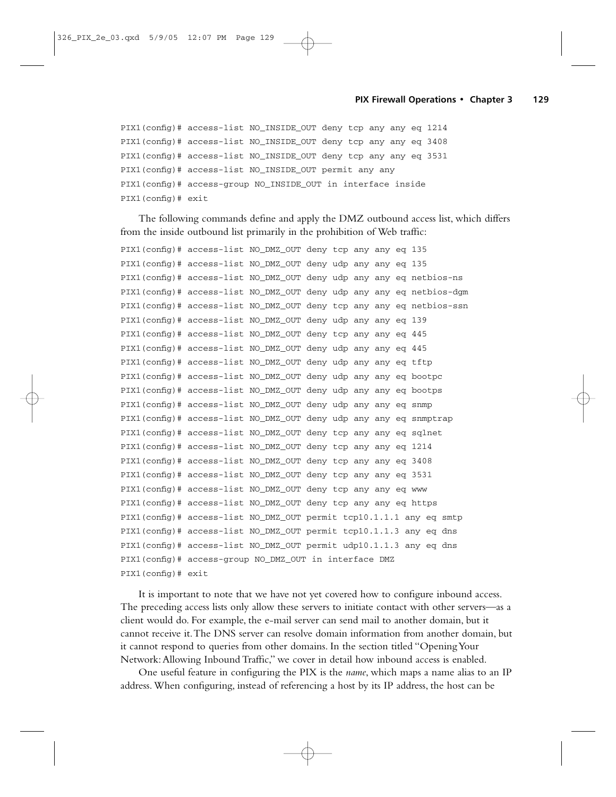```
PIX1(config)# access-list NO_INSIDE_OUT deny tcp any any eq 1214 
PIX1(config)# access-list NO_INSIDE_OUT deny tcp any any eq 3408
PIX1(config)# access-list NO_INSIDE_OUT deny tcp any any eq 3531
PIX1(config)# access-list NO_INSIDE_OUT permit any any
PIX1(config)# access-group NO_INSIDE_OUT in interface inside
PIX1(config)# exit
```
The following commands define and apply the DMZ outbound access list, which differs from the inside outbound list primarily in the prohibition of Web traffic:

```
PIX1(config)# access-list NO_DMZ_OUT deny tcp any any eq 135 
PIX1(config)# access-list NO_DMZ_OUT deny udp any any eq 135 
PIX1(config)# access-list NO_DMZ_OUT deny udp any any eq netbios-ns 
PIX1(config)# access-list NO_DMZ_OUT deny udp any any eq netbios-dgm 
PIX1(config)# access-list NO_DMZ_OUT deny tcp any any eq netbios-ssn 
PIX1(config)# access-list NO_DMZ_OUT deny udp any any eq 139 
PIX1(config)# access-list NO_DMZ_OUT deny tcp any any eq 445 
PIX1(config)# access-list NO_DMZ_OUT deny udp any any eq 445
PIX1(config)# access-list NO_DMZ_OUT deny udp any any eq tftp
PIX1(config)# access-list NO_DMZ_OUT deny udp any any eq bootpc 
PIX1(config)# access-list NO_DMZ_OUT deny udp any any eq bootps 
PIX1(config)# access-list NO_DMZ_OUT deny udp any any eq snmp 
PIX1(config)# access-list NO_DMZ_OUT deny udp any any eq snmptrap
PIX1(config)# access-list NO_DMZ_OUT deny tcp any any eq sqlnet 
PIX1(config)# access-list NO_DMZ_OUT deny tcp any any eq 1214 
PIX1(config)# access-list NO_DMZ_OUT deny tcp any any eq 3408
PIX1(config)# access-list NO_DMZ_OUT deny tcp any any eq 3531
PIX1(config)# access-list NO_DMZ_OUT deny tcp any any eq www
PIX1(config)# access-list NO_DMZ_OUT deny tcp any any eq https
PIX1(config)# access-list NO_DMZ_OUT permit tcp10.1.1.1 any eq smtp
PIX1(config)# access-list NO_DMZ_OUT permit tcp10.1.1.3 any eq dns
PIX1(config)# access-list NO_DMZ_OUT permit udp10.1.1.3 any eq dns
PIX1(config)# access-group NO_DMZ_OUT in interface DMZ
PIX1(config)# exit
```
It is important to note that we have not yet covered how to configure inbound access. The preceding access lists only allow these servers to initiate contact with other servers—as a client would do. For example, the e-mail server can send mail to another domain, but it cannot receive it.The DNS server can resolve domain information from another domain, but it cannot respond to queries from other domains. In the section titled "Opening Your Network:Allowing Inbound Traffic," we cover in detail how inbound access is enabled.

One useful feature in configuring the PIX is the *name*, which maps a name alias to an IP address. When configuring, instead of referencing a host by its IP address, the host can be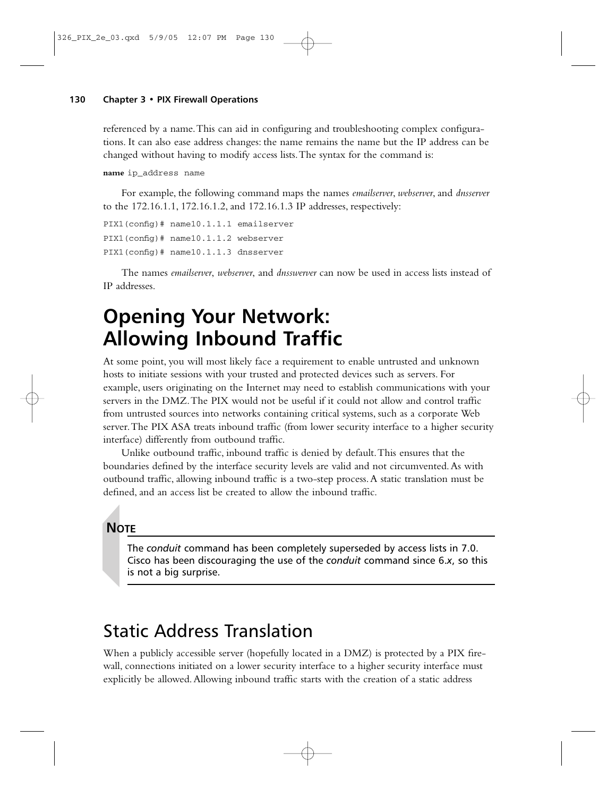referenced by a name.This can aid in configuring and troubleshooting complex configurations. It can also ease address changes: the name remains the name but the IP address can be changed without having to modify access lists.The syntax for the command is:

**name** ip\_address name

For example, the following command maps the names *emailserver*, *webserver*, and *dnsserver* to the 172.16.1.1, 172.16.1.2, and 172.16.1.3 IP addresses, respectively:

```
PIX1(config)# name10.1.1.1 emailserver
PIX1(config)# name10.1.1.2 webserver
PIX1(config)# name10.1.1.3 dnsserver
```
The names *emailserver*, *webserver*, and *dnsswerver* can now be used in access lists instead of IP addresses.

## **Opening Your Network: Allowing Inbound Traffic**

At some point, you will most likely face a requirement to enable untrusted and unknown hosts to initiate sessions with your trusted and protected devices such as servers. For example, users originating on the Internet may need to establish communications with your servers in the DMZ.The PIX would not be useful if it could not allow and control traffic from untrusted sources into networks containing critical systems, such as a corporate Web server.The PIX ASA treats inbound traffic (from lower security interface to a higher security interface) differently from outbound traffic.

Unlike outbound traffic, inbound traffic is denied by default.This ensures that the boundaries defined by the interface security levels are valid and not circumvented.As with outbound traffic, allowing inbound traffic is a two-step process.A static translation must be defined, and an access list be created to allow the inbound traffic.

#### **NOTE**

The *conduit* command has been completely superseded by access lists in 7.0. Cisco has been discouraging the use of the *conduit* command since 6.*x*, so this is not a big surprise.

## Static Address Translation

When a publicly accessible server (hopefully located in a DMZ) is protected by a PIX firewall, connections initiated on a lower security interface to a higher security interface must explicitly be allowed.Allowing inbound traffic starts with the creation of a static address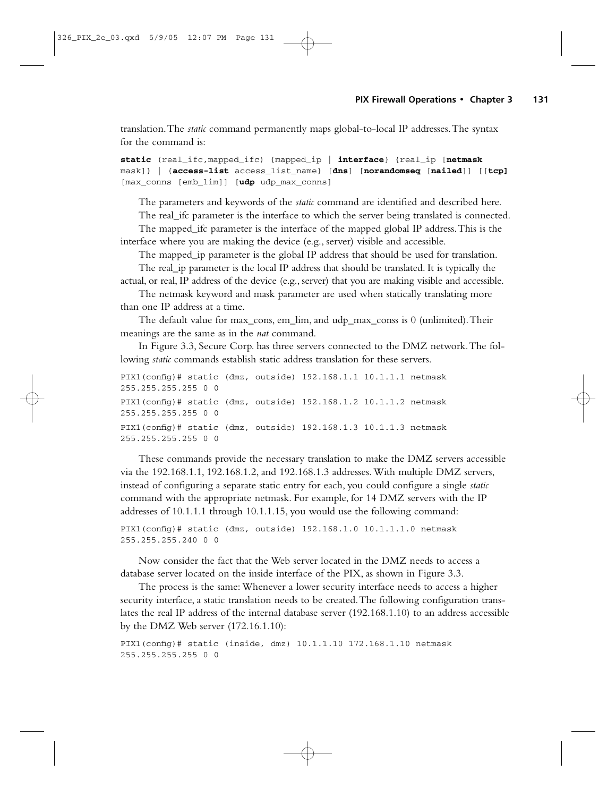translation.The *static* command permanently maps global-to-local IP addresses.The syntax for the command is:

```
static (real_ifc,mapped_ifc) {mapped_ip | interface} {real_ip [netmask
mask]} | {access-list access_list_name} [dns] [norandomseq [nailed]] [[tcp]
[max_conns [emb_lim]] [udp udp_max_conns]
```
The parameters and keywords of the *static* command are identified and described here.

The real\_ifc parameter is the interface to which the server being translated is connected. The mapped\_ifc parameter is the interface of the mapped global IP address.This is the interface where you are making the device (e.g., server) visible and accessible.

The mapped ip parameter is the global IP address that should be used for translation.

The real\_ip parameter is the local IP address that should be translated. It is typically the actual, or real, IP address of the device (e.g., server) that you are making visible and accessible.

The netmask keyword and mask parameter are used when statically translating more than one IP address at a time.

The default value for max\_cons, em\_lim, and udp\_max\_conss is 0 (unlimited).Their meanings are the same as in the *nat* command.

In Figure 3.3, Secure Corp. has three servers connected to the DMZ network.The following *static* commands establish static address translation for these servers.

```
PIX1(config)# static (dmz, outside) 192.168.1.1 10.1.1.1 netmask
255.255.255.255 0 0
PIX1(config)# static (dmz, outside) 192.168.1.2 10.1.1.2 netmask
255.255.255.255 0 0
PIX1(config)# static (dmz, outside) 192.168.1.3 10.1.1.3 netmask
255.255.255.255 0 0
```
These commands provide the necessary translation to make the DMZ servers accessible via the 192.168.1.1, 192.168.1.2, and 192.168.1.3 addresses. With multiple DMZ servers, instead of configuring a separate static entry for each, you could configure a single *static* command with the appropriate netmask. For example, for 14 DMZ servers with the IP addresses of 10.1.1.1 through 10.1.1.15, you would use the following command:

```
PIX1(config)# static (dmz, outside) 192.168.1.0 10.1.1.1.0 netmask
255.255.255.240 0 0
```
Now consider the fact that the Web server located in the DMZ needs to access a database server located on the inside interface of the PIX, as shown in Figure 3.3.

The process is the same: Whenever a lower security interface needs to access a higher security interface, a static translation needs to be created.The following configuration translates the real IP address of the internal database server (192.168.1.10) to an address accessible by the DMZ Web server (172.16.1.10):

```
PIX1(config)# static (inside, dmz) 10.1.1.10 172.168.1.10 netmask
255.255.255.255 0 0
```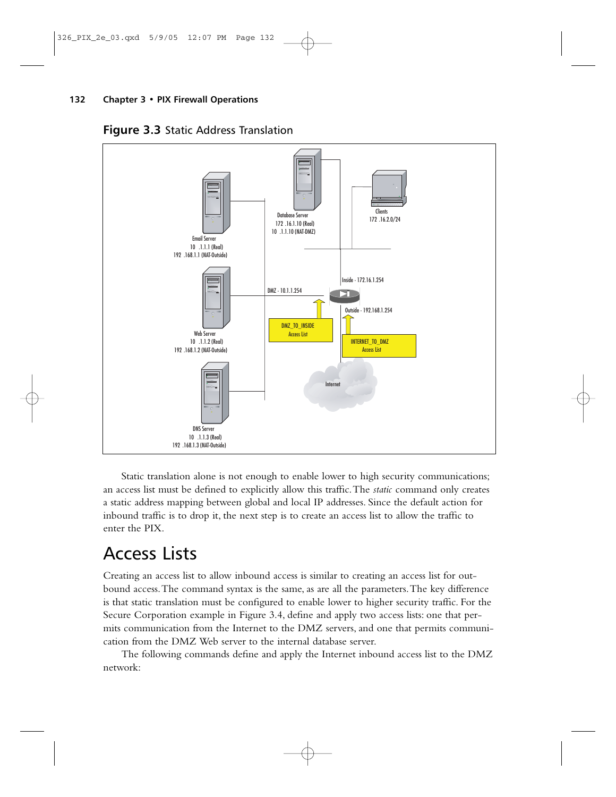



Static translation alone is not enough to enable lower to high security communications; an access list must be defined to explicitly allow this traffic.The *static* command only creates a static address mapping between global and local IP addresses. Since the default action for inbound traffic is to drop it, the next step is to create an access list to allow the traffic to enter the PIX.

## Access Lists

Creating an access list to allow inbound access is similar to creating an access list for outbound access.The command syntax is the same, as are all the parameters.The key difference is that static translation must be configured to enable lower to higher security traffic. For the Secure Corporation example in Figure 3.4, define and apply two access lists: one that permits communication from the Internet to the DMZ servers, and one that permits communication from the DMZ Web server to the internal database server.

The following commands define and apply the Internet inbound access list to the DMZ network: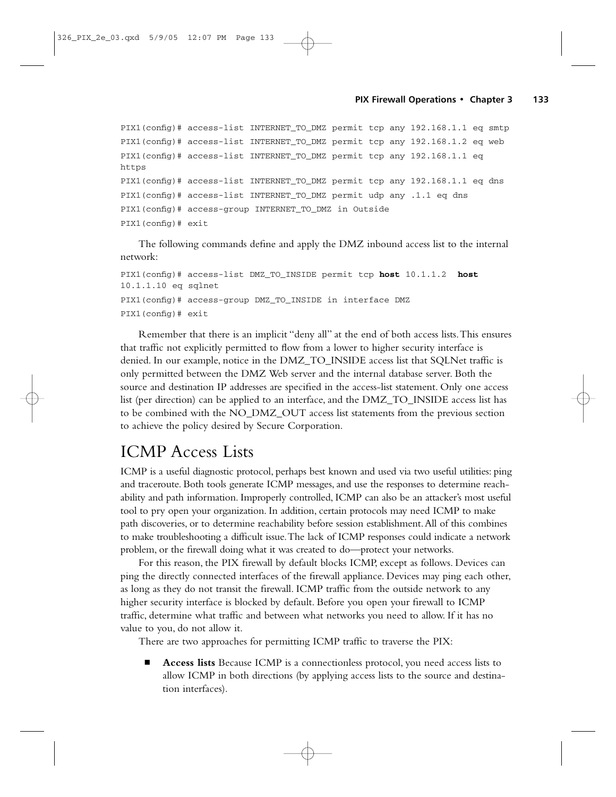```
PIX1(config)# access-list INTERNET_TO_DMZ permit tcp any 192.168.1.1 eq smtp 
PIX1(config)# access-list INTERNET_TO_DMZ permit tcp any 192.168.1.2 eq web 
PIX1(config)# access-list INTERNET_TO_DMZ permit tcp any 192.168.1.1 eq
https
PIX1(config)# access-list INTERNET_TO_DMZ permit tcp any 192.168.1.1 eq dns 
PIX1(config)# access-list INTERNET_TO_DMZ permit udp any .1.1 eq dns 
PIX1(config)# access-group INTERNET_TO_DMZ in Outside
PIX1(config)# exit
```
The following commands define and apply the DMZ inbound access list to the internal network:

```
PIX1(config)# access-list DMZ_TO_INSIDE permit tcp host 10.1.1.2 host
10.1.1.10 eq sqlnet 
PIX1(config)# access-group DMZ_TO_INSIDE in interface DMZ
PIX1(config)# exit
```
Remember that there is an implicit "deny all" at the end of both access lists.This ensures that traffic not explicitly permitted to flow from a lower to higher security interface is denied. In our example, notice in the DMZ\_TO\_INSIDE access list that SQLNet traffic is only permitted between the DMZ Web server and the internal database server. Both the source and destination IP addresses are specified in the access-list statement. Only one access list (per direction) can be applied to an interface, and the DMZ\_TO\_INSIDE access list has to be combined with the NO\_DMZ\_OUT access list statements from the previous section to achieve the policy desired by Secure Corporation.

### ICMP Access Lists

ICMP is a useful diagnostic protocol, perhaps best known and used via two useful utilities: ping and traceroute. Both tools generate ICMP messages, and use the responses to determine reachability and path information. Improperly controlled, ICMP can also be an attacker's most useful tool to pry open your organization. In addition, certain protocols may need ICMP to make path discoveries, or to determine reachability before session establishment.All of this combines to make troubleshooting a difficult issue.The lack of ICMP responses could indicate a network problem, or the firewall doing what it was created to do—protect your networks.

For this reason, the PIX firewall by default blocks ICMP, except as follows. Devices can ping the directly connected interfaces of the firewall appliance. Devices may ping each other, as long as they do not transit the firewall. ICMP traffic from the outside network to any higher security interface is blocked by default. Before you open your firewall to ICMP traffic, determine what traffic and between what networks you need to allow. If it has no value to you, do not allow it.

There are two approaches for permitting ICMP traffic to traverse the PIX:

■ **Access lists** Because ICMP is a connectionless protocol, you need access lists to allow ICMP in both directions (by applying access lists to the source and destination interfaces).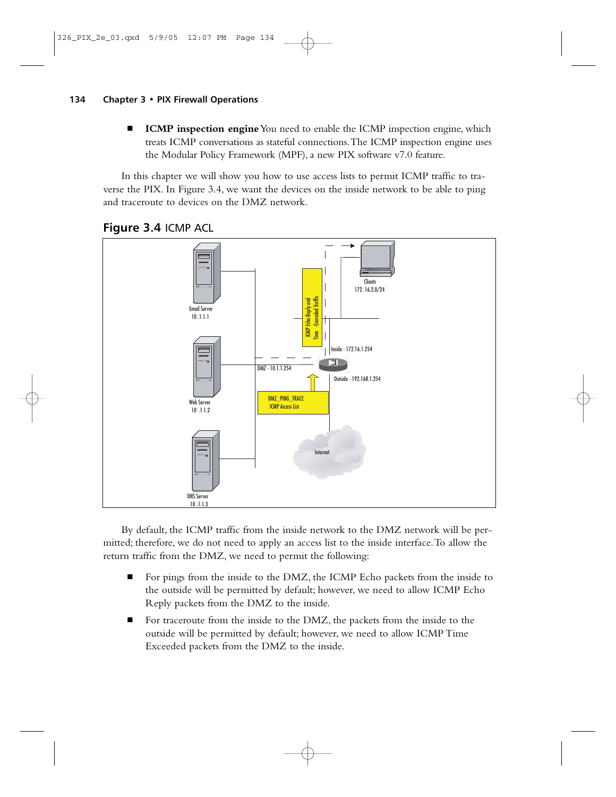■ **ICMP inspection engine** You need to enable the ICMP inspection engine, which treats ICMP conversations as stateful connections.The ICMP inspection engine uses the Modular Policy Framework (MPF), a new PIX software v7.0 feature.

In this chapter we will show you how to use access lists to permit ICMP traffic to traverse the PIX. In Figure 3.4, we want the devices on the inside network to be able to ping and traceroute to devices on the DMZ network.



#### **Figure 3.4** ICMP ACL

By default, the ICMP traffic from the inside network to the DMZ network will be permitted; therefore, we do not need to apply an access list to the inside interface.To allow the return traffic from the DMZ, we need to permit the following:

- For pings from the inside to the DMZ, the ICMP Echo packets from the inside to the outside will be permitted by default; however, we need to allow ICMP Echo Reply packets from the DMZ to the inside.
- For traceroute from the inside to the DMZ, the packets from the inside to the outside will be permitted by default; however, we need to allow ICMP Time Exceeded packets from the DMZ to the inside.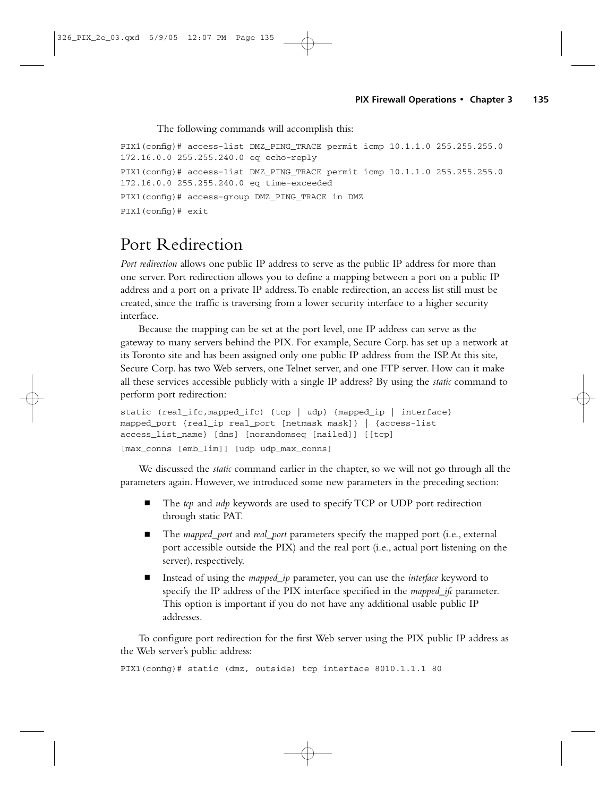The following commands will accomplish this:

```
PIX1(config)# access-list DMZ_PING_TRACE permit icmp 10.1.1.0 255.255.255.0
172.16.0.0 255.255.240.0 eq echo-reply 
PIX1(config)# access-list DMZ_PING_TRACE permit icmp 10.1.1.0 255.255.255.0
172.16.0.0 255.255.240.0 eq time-exceeded 
PIX1(config)# access-group DMZ_PING_TRACE in DMZ
PIX1(config)# exit
```
### Port Redirection

*Port redirection* allows one public IP address to serve as the public IP address for more than one server. Port redirection allows you to define a mapping between a port on a public IP address and a port on a private IP address.To enable redirection, an access list still must be created, since the traffic is traversing from a lower security interface to a higher security interface.

Because the mapping can be set at the port level, one IP address can serve as the gateway to many servers behind the PIX. For example, Secure Corp. has set up a network at its Toronto site and has been assigned only one public IP address from the ISP.At this site, Secure Corp. has two Web servers, one Telnet server, and one FTP server. How can it make all these services accessible publicly with a single IP address? By using the *static* command to perform port redirection:

```
static (real_ifc,mapped_ifc) {tcp | udp} {mapped_ip | interface}
mapped_port {real_ip real_port [netmask mask]} | {access-list
access_list_name} [dns] [norandomseq [nailed]] [[tcp]
[max_conns [emb_lim]] [udp udp_max_conns]
```
We discussed the *static* command earlier in the chapter, so we will not go through all the parameters again. However, we introduced some new parameters in the preceding section:

- The *tcp* and *udp* keywords are used to specify TCP or UDP port redirection through static PAT.
- The *mapped\_port* and *real\_port* parameters specify the mapped port (i.e., external port accessible outside the PIX) and the real port (i.e., actual port listening on the server), respectively.
- Instead of using the *mapped\_ip* parameter, you can use the *interface* keyword to specify the IP address of the PIX interface specified in the *mapped\_ifc* parameter. This option is important if you do not have any additional usable public IP addresses.

To configure port redirection for the first Web server using the PIX public IP address as the Web server's public address:

PIX1(config)# static (dmz, outside) tcp interface 8010.1.1.1 80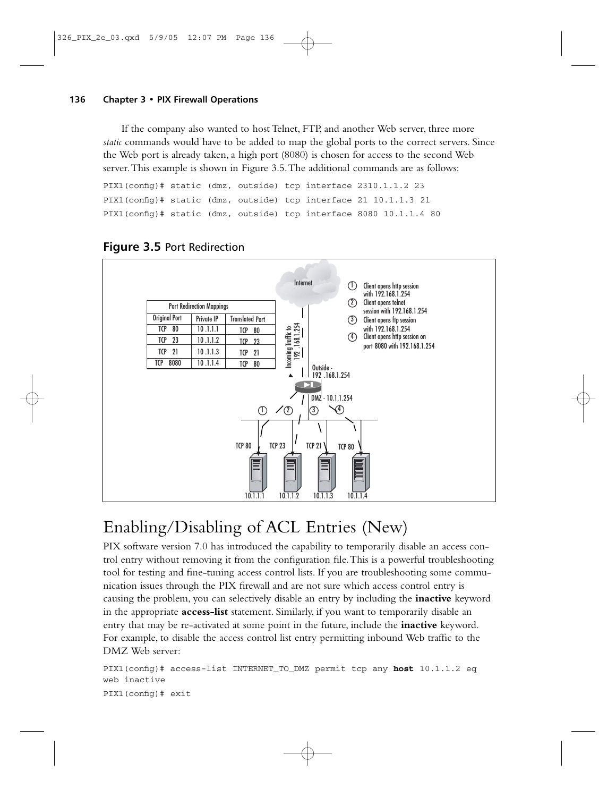If the company also wanted to host Telnet, FTP, and another Web server, three more *static* commands would have to be added to map the global ports to the correct servers. Since the Web port is already taken, a high port (8080) is chosen for access to the second Web server.This example is shown in Figure 3.5.The additional commands are as follows:

PIX1(config)# static (dmz, outside) tcp interface 2310.1.1.2 23 PIX1(config)# static (dmz, outside) tcp interface 21 10.1.1.3 21 PIX1(config)# static (dmz, outside) tcp interface 8080 10.1.1.4 80



#### **Figure 3.5** Port Redirection

### Enabling/Disabling of ACL Entries (New)

PIX software version 7.0 has introduced the capability to temporarily disable an access control entry without removing it from the configuration file.This is a powerful troubleshooting tool for testing and fine-tuning access control lists. If you are troubleshooting some communication issues through the PIX firewall and are not sure which access control entry is causing the problem, you can selectively disable an entry by including the **inactive** keyword in the appropriate **access-list** statement. Similarly, if you want to temporarily disable an entry that may be re-activated at some point in the future, include the **inactive** keyword. For example, to disable the access control list entry permitting inbound Web traffic to the DMZ Web server:

PIX1(config)# access-list INTERNET\_TO\_DMZ permit tcp any **host** 10.1.1.2 eq web inactive PIX1(config)# exit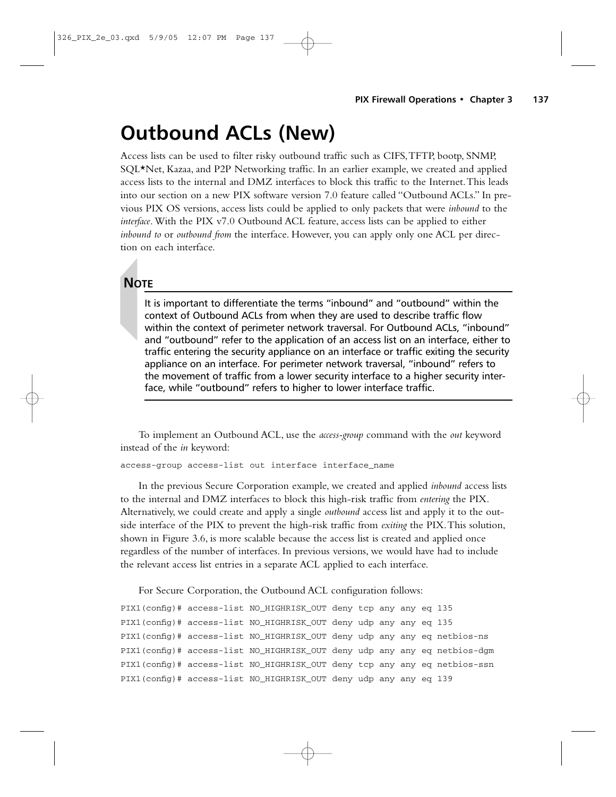# **Outbound ACLs (New)**

Access lists can be used to filter risky outbound traffic such as CIFS,TFTP, bootp, SNMP, SQL\*Net, Kazaa, and P2P Networking traffic. In an earlier example, we created and applied access lists to the internal and DMZ interfaces to block this traffic to the Internet.This leads into our section on a new PIX software version 7.0 feature called "Outbound ACLs." In previous PIX OS versions, access lists could be applied to only packets that were *inbound* to the *interface*. With the PIX v7.0 Outbound ACL feature, access lists can be applied to either *inbound to* or *outbound from* the interface. However, you can apply only one ACL per direction on each interface.

### **NOTE**

It is important to differentiate the terms "inbound" and "outbound" within the context of Outbound ACLs from when they are used to describe traffic flow within the context of perimeter network traversal. For Outbound ACLs, "inbound" and "outbound" refer to the application of an access list on an interface, either to traffic entering the security appliance on an interface or traffic exiting the security appliance on an interface. For perimeter network traversal, "inbound" refers to the movement of traffic from a lower security interface to a higher security interface, while "outbound" refers to higher to lower interface traffic.

To implement an Outbound ACL, use the *access-group* command with the *out* keyword instead of the *in* keyword:

```
access-group access-list out interface interface_name
```
In the previous Secure Corporation example, we created and applied *inbound* access lists to the internal and DMZ interfaces to block this high-risk traffic from *entering* the PIX. Alternatively, we could create and apply a single *outbound* access list and apply it to the outside interface of the PIX to prevent the high-risk traffic from *exiting* the PIX.This solution, shown in Figure 3.6, is more scalable because the access list is created and applied once regardless of the number of interfaces. In previous versions, we would have had to include the relevant access list entries in a separate ACL applied to each interface.

For Secure Corporation, the Outbound ACL configuration follows:

```
PIX1(config)# access-list NO_HIGHRISK_OUT deny tcp any any eq 135 
PIX1(config)# access-list NO_HIGHRISK_OUT deny udp any any eq 135 
PIX1(config)# access-list NO_HIGHRISK_OUT deny udp any any eq netbios-ns 
PIX1(config)# access-list NO_HIGHRISK_OUT deny udp any any eq netbios-dgm 
PIX1(config)# access-list NO_HIGHRISK_OUT deny tcp any any eq netbios-ssn 
PIX1(config)# access-list NO_HIGHRISK_OUT deny udp any any eq 139
```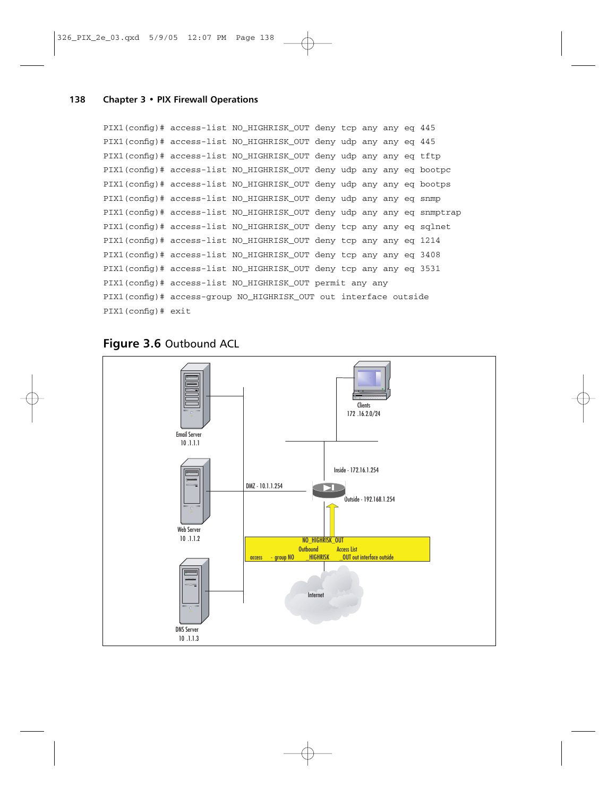```
PIX1(config)# access-list NO_HIGHRISK_OUT deny tcp any any eq 445
PIX1(config)# access-list NO_HIGHRISK_OUT deny udp any any eq 445
PIX1(config)# access-list NO_HIGHRISK_OUT deny udp any any eq tftp
PIX1(config)# access-list NO_HIGHRISK_OUT deny udp any any eq bootpc 
PIX1(config)# access-list NO_HIGHRISK_OUT deny udp any any eq bootps 
PIX1(config)# access-list NO_HIGHRISK_OUT deny udp any any eq snmp 
PIX1(config)# access-list NO_HIGHRISK_OUT deny udp any any eq snmptrap
PIX1(config)# access-list NO_HIGHRISK_OUT deny tcp any any eq sqlnet 
PIX1(config)# access-list NO_HIGHRISK_OUT deny tcp any any eq 1214 
PIX1(config)# access-list NO_HIGHRISK_OUT deny tcp any any eq 3408
PIX1(config)# access-list NO_HIGHRISK_OUT deny tcp any any eq 3531
PIX1(config)# access-list NO_HIGHRISK_OUT permit any any
PIX1(config)# access-group NO_HIGHRISK_OUT out interface outside
PIX1(config)# exit
```
#### **Figure 3.6** Outbound ACL

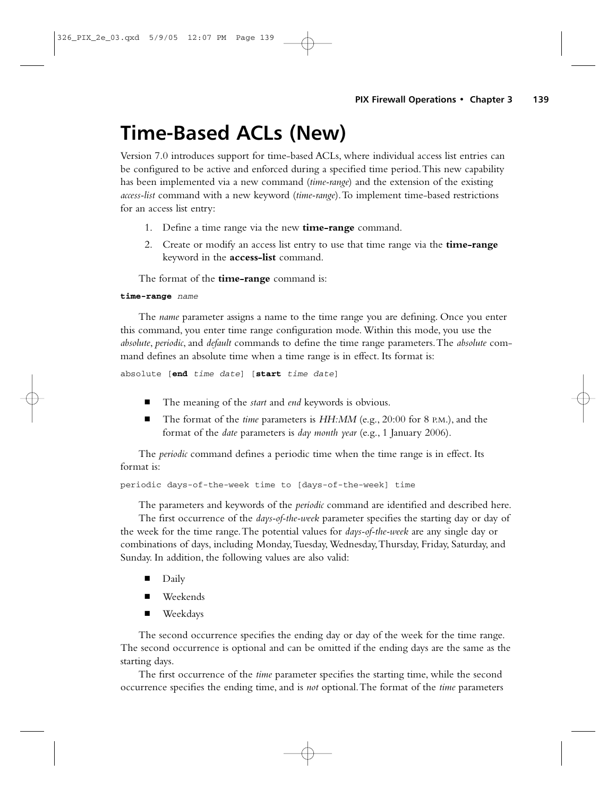## **Time-Based ACLs (New)**

Version 7.0 introduces support for time-based ACLs, where individual access list entries can be configured to be active and enforced during a specified time period.This new capability has been implemented via a new command (*time-range*) and the extension of the existing *access-list* command with a new keyword (*time-range*).To implement time-based restrictions for an access list entry:

- 1. Define a time range via the new **time-range** command.
- 2. Create or modify an access list entry to use that time range via the **time-range** keyword in the **access-list** command.

The format of the **time-range** command is:

#### **time-range** name

The *name* parameter assigns a name to the time range you are defining. Once you enter this command, you enter time range configuration mode. Within this mode, you use the *absolute*, *periodic*, and *default* commands to define the time range parameters.The *absolute* command defines an absolute time when a time range is in effect. Its format is:

absolute [**end** time date] [**start** time date]

- The meaning of the *start* and *end* keywords is obvious.
- The format of the *time* parameters is *HH:MM* (e.g., 20:00 for 8 P.M.), and the format of the *date* parameters is *day month year* (e.g., 1 January 2006).

The *periodic* command defines a periodic time when the time range is in effect. Its format is:

periodic days-of-the-week time to [days-of-the-week] time

The parameters and keywords of the *periodic* command are identified and described here.

The first occurrence of the *days-of-the-week* parameter specifies the starting day or day of the week for the time range.The potential values for *days-of-the-week* are any single day or combinations of days, including Monday,Tuesday, Wednesday,Thursday, Friday, Saturday, and Sunday. In addition, the following values are also valid:

- Daily
- Weekends
- Weekdays

The second occurrence specifies the ending day or day of the week for the time range. The second occurrence is optional and can be omitted if the ending days are the same as the starting days.

The first occurrence of the *time* parameter specifies the starting time, while the second occurrence specifies the ending time, and is *not* optional.The format of the *time* parameters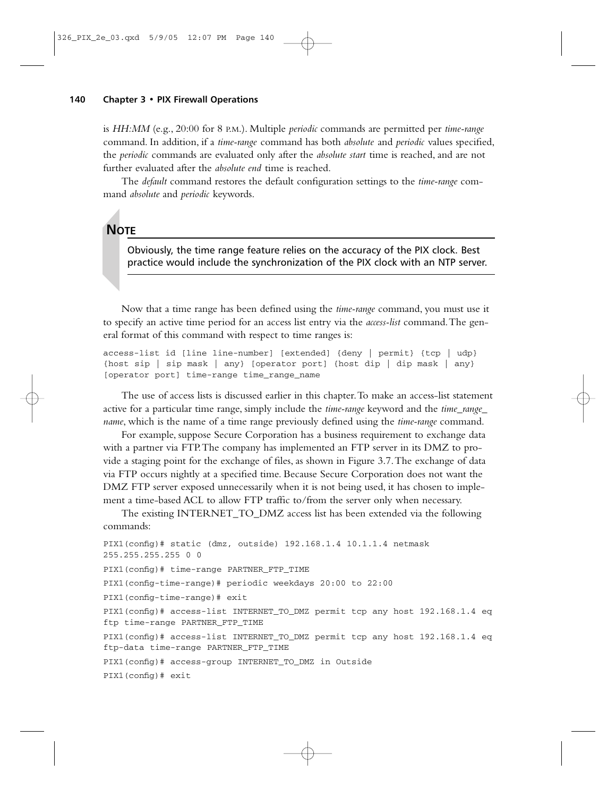is *HH:MM* (e.g., 20:00 for 8 P.M.). Multiple *periodic* commands are permitted per *time-range* command. In addition, if a *time-range* command has both *absolute* and *periodic* values specified, the *periodic* commands are evaluated only after the *absolute start* time is reached, and are not further evaluated after the *absolute end* time is reached.

The *default* command restores the default configuration settings to the *time-range* command *absolute* and *periodic* keywords.

#### **NOTE**

Obviously, the time range feature relies on the accuracy of the PIX clock. Best practice would include the synchronization of the PIX clock with an NTP server.

Now that a time range has been defined using the *time-range* command, you must use it to specify an active time period for an access list entry via the *access-list* command.The general format of this command with respect to time ranges is:

```
access-list id [line line-number] [extended] {deny | permit} {tcp | udp}
{host sip | sip mask | any} [operator port] {host dip | dip mask | any}
[operator port] time-range time_range_name
```
The use of access lists is discussed earlier in this chapter.To make an access-list statement active for a particular time range, simply include the *time-range* keyword and the *time\_range\_ name*, which is the name of a time range previously defined using the *time-range* command.

For example, suppose Secure Corporation has a business requirement to exchange data with a partner via FTP. The company has implemented an FTP server in its DMZ to provide a staging point for the exchange of files, as shown in Figure 3.7.The exchange of data via FTP occurs nightly at a specified time. Because Secure Corporation does not want the DMZ FTP server exposed unnecessarily when it is not being used, it has chosen to implement a time-based ACL to allow FTP traffic to/from the server only when necessary.

The existing INTERNET\_TO\_DMZ access list has been extended via the following commands:

```
PIX1(config)# static (dmz, outside) 192.168.1.4 10.1.1.4 netmask
255.255.255.255 0 0
PIX1(config)# time-range PARTNER_FTP_TIME
PIX1(config-time-range)# periodic weekdays 20:00 to 22:00
PIX1(config-time-range)# exit
PIX1(config)# access-list INTERNET_TO_DMZ permit tcp any host 192.168.1.4 eq
ftp time-range PARTNER_FTP_TIME
PIX1(config)# access-list INTERNET_TO_DMZ permit tcp any host 192.168.1.4 eq
ftp-data time-range PARTNER_FTP_TIME
PIX1(config)# access-group INTERNET_TO_DMZ in Outside
PIX1(config)# exit
```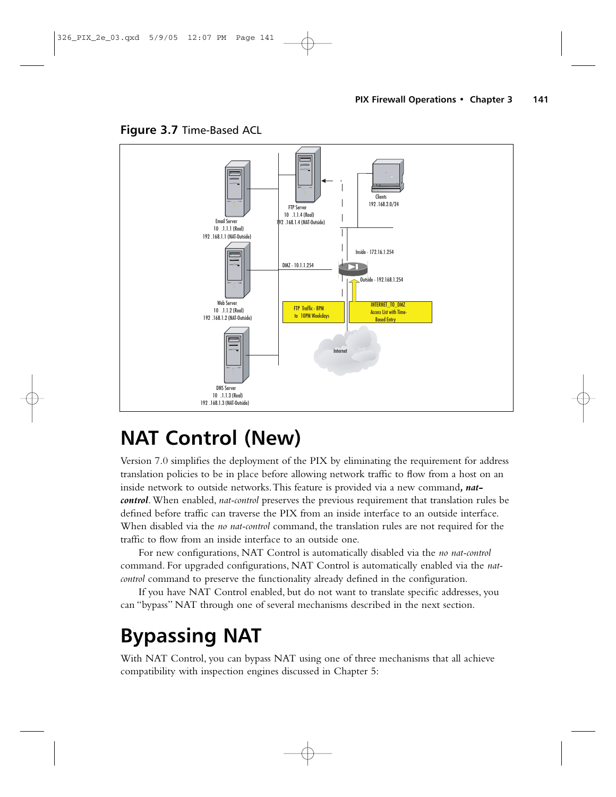

#### **Figure 3.7** Time-Based ACL

# **NAT Control (New)**

Version 7.0 simplifies the deployment of the PIX by eliminating the requirement for address translation policies to be in place before allowing network traffic to flow from a host on an inside network to outside networks.This feature is provided via a new command*, natcontrol*. When enabled, *nat-control* preserves the previous requirement that translation rules be defined before traffic can traverse the PIX from an inside interface to an outside interface. When disabled via the *no nat-control* command, the translation rules are not required for the traffic to flow from an inside interface to an outside one.

For new configurations, NAT Control is automatically disabled via the *no nat-control* command. For upgraded configurations, NAT Control is automatically enabled via the *natcontrol* command to preserve the functionality already defined in the configuration.

If you have NAT Control enabled, but do not want to translate specific addresses, you can "bypass" NAT through one of several mechanisms described in the next section.

# **Bypassing NAT**

With NAT Control, you can bypass NAT using one of three mechanisms that all achieve compatibility with inspection engines discussed in Chapter 5: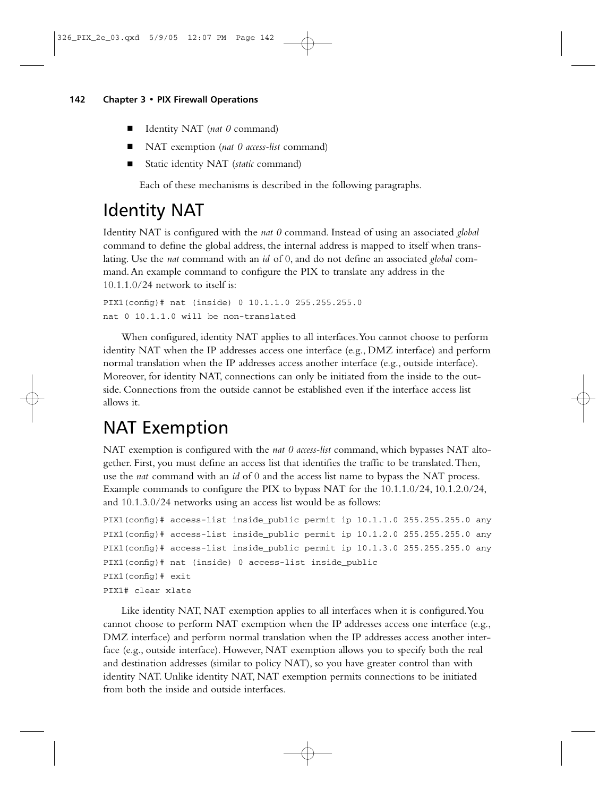- Identity NAT (*nat* 0 command)
- NAT exemption (*nat 0 access-list* command)
- Static identity NAT (*static* command)

Each of these mechanisms is described in the following paragraphs.

## Identity NAT

Identity NAT is configured with the *nat 0* command. Instead of using an associated *global* command to define the global address, the internal address is mapped to itself when translating. Use the *nat* command with an *id* of 0, and do not define an associated *global* command.An example command to configure the PIX to translate any address in the 10.1.1.0/24 network to itself is:

```
PIX1(config)# nat (inside) 0 10.1.1.0 255.255.255.0
nat 0 10.1.1.0 will be non-translated
```
When configured, identity NAT applies to all interfaces.You cannot choose to perform identity NAT when the IP addresses access one interface (e.g., DMZ interface) and perform normal translation when the IP addresses access another interface (e.g., outside interface). Moreover, for identity NAT, connections can only be initiated from the inside to the outside. Connections from the outside cannot be established even if the interface access list allows it.

## NAT Exemption

NAT exemption is configured with the *nat 0 access-list* command, which bypasses NAT altogether. First, you must define an access list that identifies the traffic to be translated.Then, use the *nat* command with an *id* of 0 and the access list name to bypass the NAT process. Example commands to configure the PIX to bypass NAT for the 10.1.1.0/24, 10.1.2.0/24, and 10.1.3.0/24 networks using an access list would be as follows:

```
PIX1(config)# access-list inside_public permit ip 10.1.1.0 255.255.255.0 any
PIX1(config)# access-list inside_public permit ip 10.1.2.0 255.255.255.0 any
PIX1(config)# access-list inside_public permit ip 10.1.3.0 255.255.255.0 any
PIX1(config)# nat (inside) 0 access-list inside_public
PIX1(config)# exit
PIX1# clear xlate
```
Like identity NAT, NAT exemption applies to all interfaces when it is configured.You cannot choose to perform NAT exemption when the IP addresses access one interface (e.g., DMZ interface) and perform normal translation when the IP addresses access another interface (e.g., outside interface). However, NAT exemption allows you to specify both the real and destination addresses (similar to policy NAT), so you have greater control than with identity NAT. Unlike identity NAT, NAT exemption permits connections to be initiated from both the inside and outside interfaces.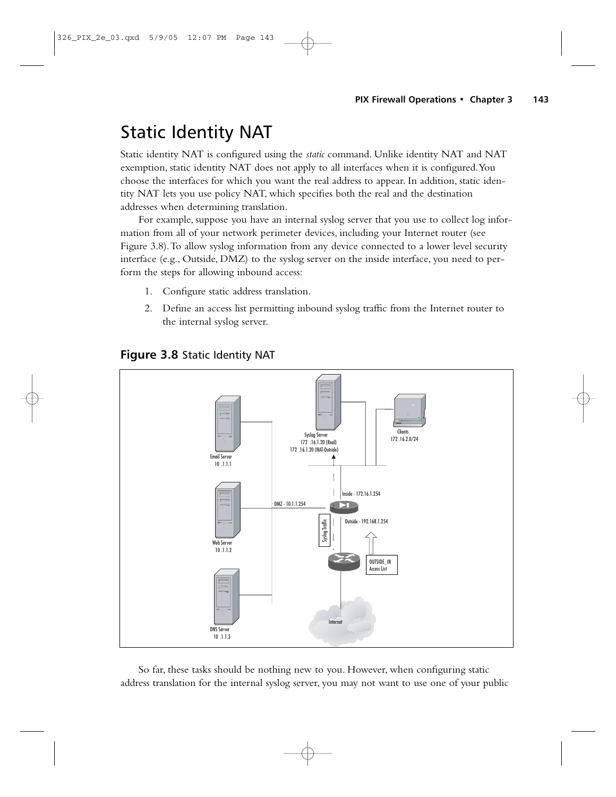## Static Identity NAT

Static identity NAT is configured using the *static* command. Unlike identity NAT and NAT exemption, static identity NAT does not apply to all interfaces when it is configured.You choose the interfaces for which you want the real address to appear. In addition, static identity NAT lets you use policy NAT, which specifies both the real and the destination addresses when determining translation.

For example, suppose you have an internal syslog server that you use to collect log information from all of your network perimeter devices, including your Internet router (see Figure 3.8).To allow syslog information from any device connected to a lower level security interface (e.g., Outside, DMZ) to the syslog server on the inside interface, you need to perform the steps for allowing inbound access:

- 1. Configure static address translation.
- 2. Define an access list permitting inbound syslog traffic from the Internet router to the internal syslog server.



#### **Figure 3.8** Static Identity NAT

So far, these tasks should be nothing new to you. However, when configuring static address translation for the internal syslog server, you may not want to use one of your public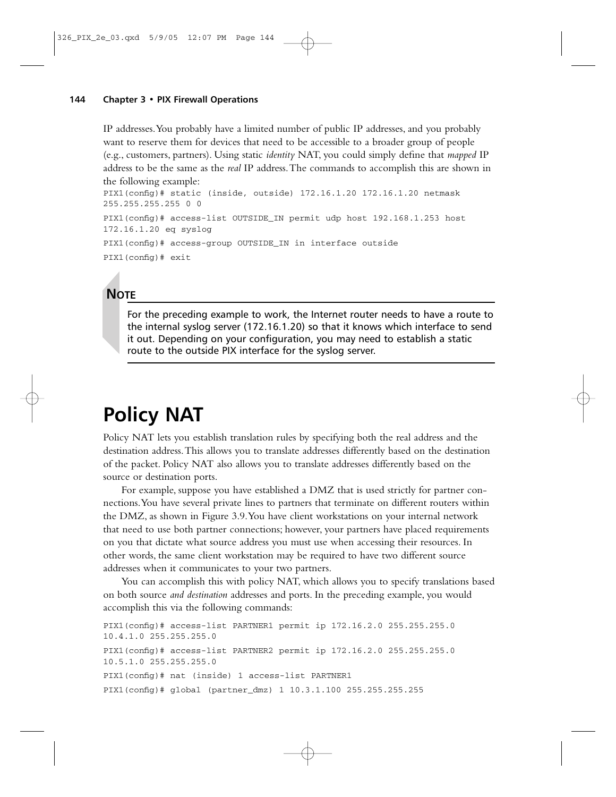IP addresses.You probably have a limited number of public IP addresses, and you probably want to reserve them for devices that need to be accessible to a broader group of people (e.g., customers, partners). Using static *identity* NAT, you could simply define that *mapped* IP address to be the same as the *real* IP address.The commands to accomplish this are shown in the following example:

```
PIX1(config)# static (inside, outside) 172.16.1.20 172.16.1.20 netmask
255.255.255.255 0 0
PIX1(config)# access-list OUTSIDE_IN permit udp host 192.168.1.253 host
172.16.1.20 eq syslog
PIX1(config)# access-group OUTSIDE_IN in interface outside
PIX1(config)# exit
```
#### **NOTE**

For the preceding example to work, the Internet router needs to have a route to the internal syslog server (172.16.1.20) so that it knows which interface to send it out. Depending on your configuration, you may need to establish a static route to the outside PIX interface for the syslog server.

# **Policy NAT**

Policy NAT lets you establish translation rules by specifying both the real address and the destination address.This allows you to translate addresses differently based on the destination of the packet. Policy NAT also allows you to translate addresses differently based on the source or destination ports.

For example, suppose you have established a DMZ that is used strictly for partner connections.You have several private lines to partners that terminate on different routers within the DMZ, as shown in Figure 3.9.You have client workstations on your internal network that need to use both partner connections; however, your partners have placed requirements on you that dictate what source address you must use when accessing their resources. In other words, the same client workstation may be required to have two different source addresses when it communicates to your two partners.

You can accomplish this with policy NAT, which allows you to specify translations based on both source *and destination* addresses and ports. In the preceding example, you would accomplish this via the following commands:

```
PIX1(config)# access-list PARTNER1 permit ip 172.16.2.0 255.255.255.0
10.4.1.0 255.255.255.0
PIX1(config)# access-list PARTNER2 permit ip 172.16.2.0 255.255.255.0
10.5.1.0 255.255.255.0
PIX1(config)# nat (inside) 1 access-list PARTNER1
PIX1(config)# global (partner_dmz) 1 10.3.1.100 255.255.255.255
```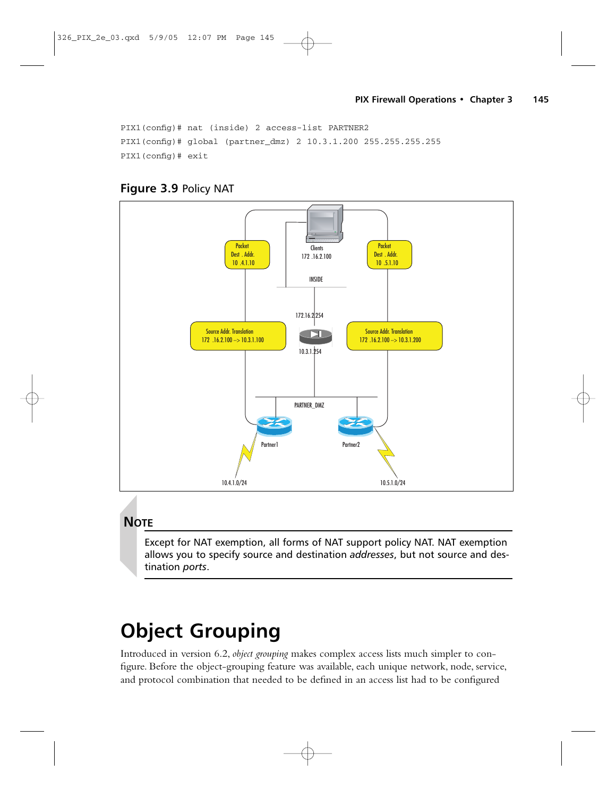```
PIX1(config)# nat (inside) 2 access-list PARTNER2
PIX1(config)# global (partner_dmz) 2 10.3.1.200 255.255.255.255
PIX1(config)# exit
```
#### **Figure 3.9** Policy NAT



#### **NOTE**

Except for NAT exemption, all forms of NAT support policy NAT. NAT exemption allows you to specify source and destination *addresses*, but not source and destination *ports*.

## **Object Grouping**

Introduced in version 6.2, *object grouping* makes complex access lists much simpler to configure. Before the object-grouping feature was available, each unique network, node, service, and protocol combination that needed to be defined in an access list had to be configured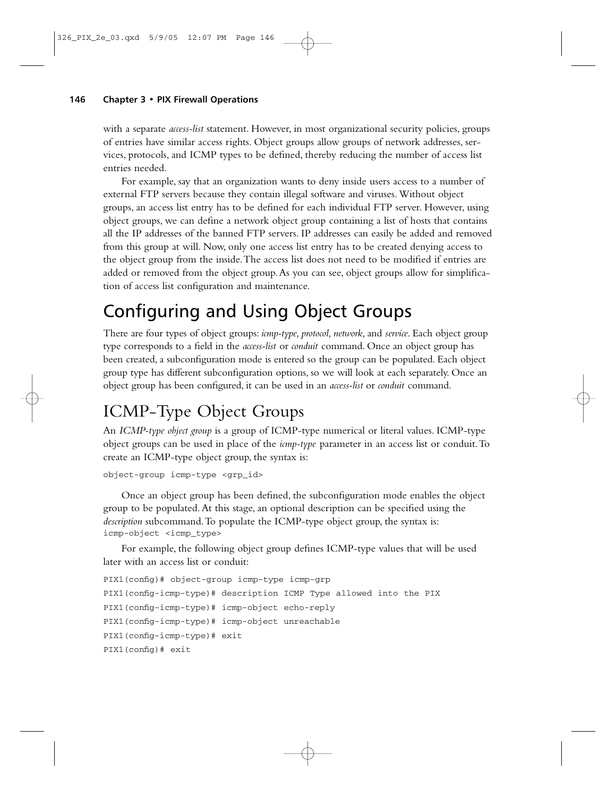with a separate *access-list* statement. However, in most organizational security policies, groups of entries have similar access rights. Object groups allow groups of network addresses, services, protocols, and ICMP types to be defined, thereby reducing the number of access list entries needed.

For example, say that an organization wants to deny inside users access to a number of external FTP servers because they contain illegal software and viruses. Without object groups, an access list entry has to be defined for each individual FTP server. However, using object groups, we can define a network object group containing a list of hosts that contains all the IP addresses of the banned FTP servers. IP addresses can easily be added and removed from this group at will. Now, only one access list entry has to be created denying access to the object group from the inside.The access list does not need to be modified if entries are added or removed from the object group.As you can see, object groups allow for simplification of access list configuration and maintenance.

## Configuring and Using Object Groups

There are four types of object groups: *icmp-type, protocol, network,*and *service*. Each object group type corresponds to a field in the *access-list* or *conduit* command. Once an object group has been created, a subconfiguration mode is entered so the group can be populated. Each object group type has different subconfiguration options, so we will look at each separately. Once an object group has been configured, it can be used in an *access-list* or *conduit* command.

### ICMP-Type Object Groups

An *ICMP-type object group* is a group of ICMP-type numerical or literal values. ICMP-type object groups can be used in place of the *icmp-type* parameter in an access list or conduit.To create an ICMP-type object group, the syntax is:

```
object-group icmp-type <grp_id>
```
Once an object group has been defined, the subconfiguration mode enables the object group to be populated.At this stage, an optional description can be specified using the *description* subcommand.To populate the ICMP-type object group, the syntax is: icmp-object <icmp\_type>

For example, the following object group defines ICMP-type values that will be used later with an access list or conduit:

```
PIX1(config)# object-group icmp-type icmp-grp
PIX1(config-icmp-type)# description ICMP Type allowed into the PIX
PIX1(config-icmp-type)# icmp-object echo-reply
PIX1(config-icmp-type)# icmp-object unreachable
PIX1(config-icmp-type)# exit
PIX1(config)# exit
```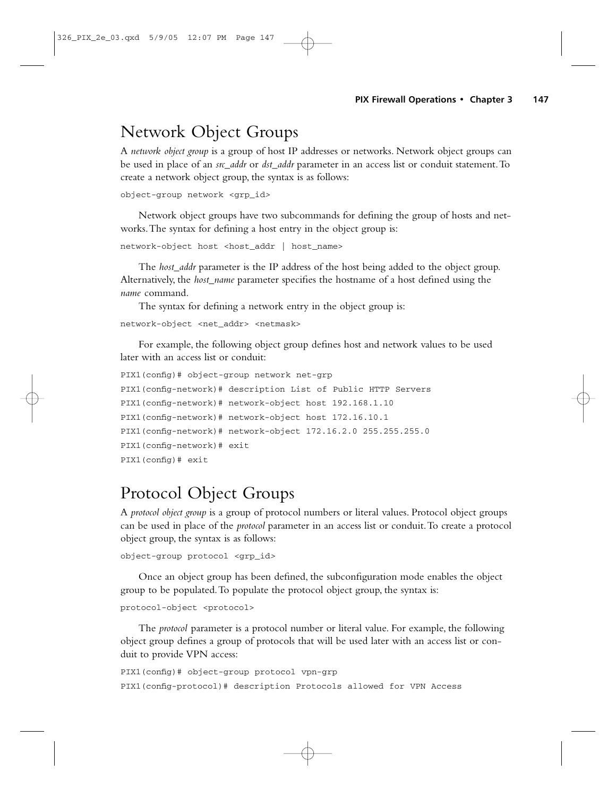### Network Object Groups

A *network object group* is a group of host IP addresses or networks. Network object groups can be used in place of an *src\_addr* or *dst\_addr* parameter in an access list or conduit statement.To create a network object group, the syntax is as follows:

object-group network <grp\_id<sup>&</sup>gt;

Network object groups have two subcommands for defining the group of hosts and networks.The syntax for defining a host entry in the object group is:

```
network-object host <host_addr | host_name>
```
The *host\_addr* parameter is the IP address of the host being added to the object group. Alternatively, the *host\_name* parameter specifies the hostname of a host defined using the *name* command.

The syntax for defining a network entry in the object group is:

```
network-object <net_addr> <netmask>
```
For example, the following object group defines host and network values to be used later with an access list or conduit:

```
PIX1(config)# object-group network net-grp
PIX1(config-network)# description List of Public HTTP Servers
PIX1(config-network)# network-object host 192.168.1.10
PIX1(config-network)# network-object host 172.16.10.1
PIX1(config-network)# network-object 172.16.2.0 255.255.255.0
PIX1(config-network)# exit
PIX1(config)# exit
```
### Protocol Object Groups

A *protocol object group* is a group of protocol numbers or literal values. Protocol object groups can be used in place of the *protocol* parameter in an access list or conduit.To create a protocol object group, the syntax is as follows:

```
object-group protocol <grp_id>
```
Once an object group has been defined, the subconfiguration mode enables the object group to be populated.To populate the protocol object group, the syntax is:

```
protocol-object <protocol>
```
The *protocol* parameter is a protocol number or literal value. For example, the following object group defines a group of protocols that will be used later with an access list or conduit to provide VPN access:

```
PIX1(config)# object-group protocol vpn-grp
PIX1(config-protocol)# description Protocols allowed for VPN Access
```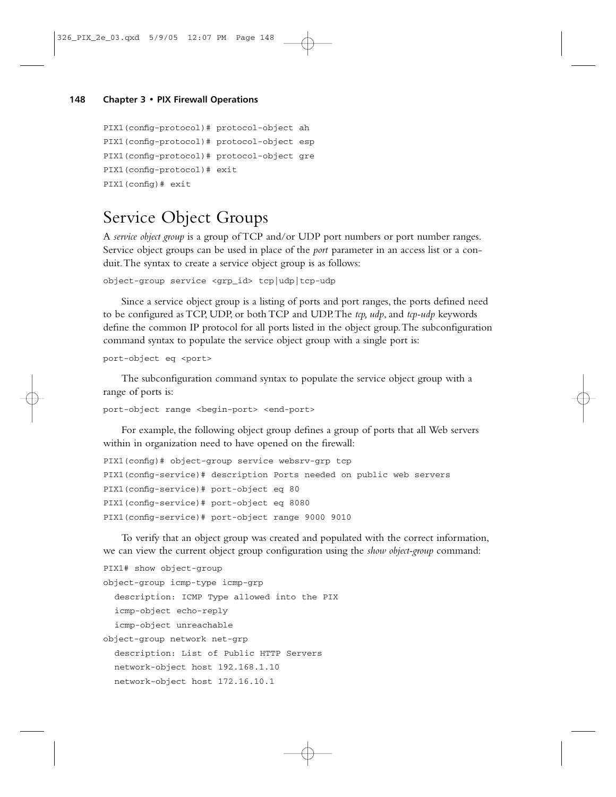```
PIX1(config-protocol)# protocol-object ah
PIX1(config-protocol)# protocol-object esp
PIX1(config-protocol)# protocol-object gre
PIX1(config-protocol)# exit
PIX1(config)# exit
```
### Service Object Groups

A *service object group* is a group of TCP and/or UDP port numbers or port number ranges. Service object groups can be used in place of the *port* parameter in an access list or a conduit.The syntax to create a service object group is as follows:

```
object-group service <grp_id> tcp|udp|tcp-udp
```
Since a service object group is a listing of ports and port ranges, the ports defined need to be configured as TCP, UDP, or both TCP and UDP.The *tcp, udp*, and *tcp-udp* keywords define the common IP protocol for all ports listed in the object group.The subconfiguration command syntax to populate the service object group with a single port is:

```
port-object eq <port>
```
The subconfiguration command syntax to populate the service object group with a range of ports is:

```
port-object range <begin-port> <end-port>
```
For example, the following object group defines a group of ports that all Web servers within in organization need to have opened on the firewall:

```
PIX1(config)# object-group service websrv-grp tcp
PIX1(config-service)# description Ports needed on public web servers
PIX1(config-service)# port-object eq 80
PIX1(config-service)# port-object eq 8080
PIX1(config-service)# port-object range 9000 9010
```
To verify that an object group was created and populated with the correct information, we can view the current object group configuration using the *show object-group* command:

```
PIX1# show object-group 
object-group icmp-type icmp-grp
  description: ICMP Type allowed into the PIX
  icmp-object echo-reply
  icmp-object unreachable
object-group network net-grp
  description: List of Public HTTP Servers
  network-object host 192.168.1.10
  network-object host 172.16.10.1
```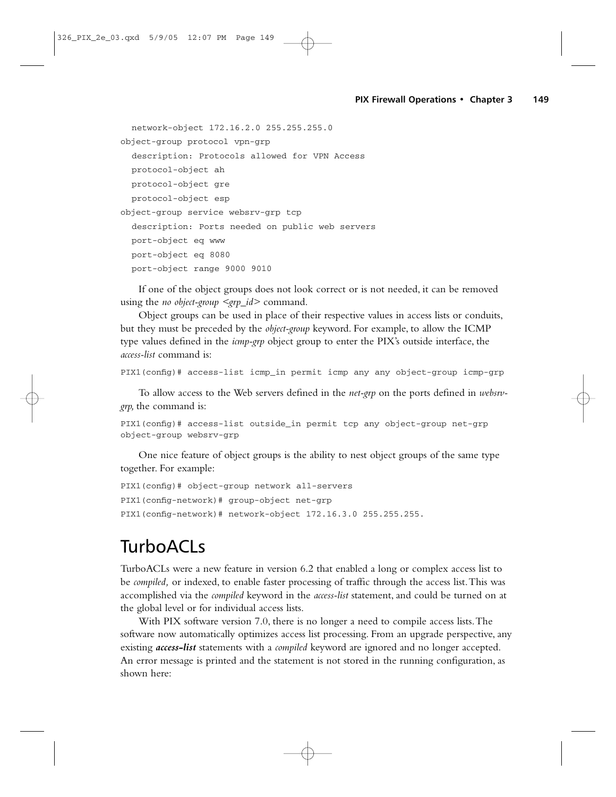```
network-object 172.16.2.0 255.255.255.0
object-group protocol vpn-grp
  description: Protocols allowed for VPN Access
  protocol-object ah
  protocol-object gre
  protocol-object esp
object-group service websrv-grp tcp
  description: Ports needed on public web servers
  port-object eq www
  port-object eq 8080
  port-object range 9000 9010
```
If one of the object groups does not look correct or is not needed, it can be removed using the *no object-group <grp\_id>* command.

Object groups can be used in place of their respective values in access lists or conduits, but they must be preceded by the *object-group* keyword. For example, to allow the ICMP type values defined in the *icmp-grp* object group to enter the PIX's outside interface, the *access-list* command is:

```
PIX1(config)# access-list icmp_in permit icmp any any object-group icmp-grp
```
To allow access to the Web servers defined in the *net-grp* on the ports defined in *websrvgrp,* the command is:

```
PIX1(config)# access-list outside_in permit tcp any object-group net-grp
object-group websrv-grp
```
One nice feature of object groups is the ability to nest object groups of the same type together. For example:

PIX1(config)# object-group network all-servers PIX1(config-network)# group-object net-grp PIX1(config-network)# network-object 172.16.3.0 255.255.255.

## **TurboACLs**

TurboACLs were a new feature in version 6.2 that enabled a long or complex access list to be *compiled,* or indexed, to enable faster processing of traffic through the access list.This was accomplished via the *compiled* keyword in the *access-list* statement, and could be turned on at the global level or for individual access lists.

With PIX software version 7.0, there is no longer a need to compile access lists.The software now automatically optimizes access list processing. From an upgrade perspective, any existing *access-list* statements with a *compiled* keyword are ignored and no longer accepted. An error message is printed and the statement is not stored in the running configuration, as shown here: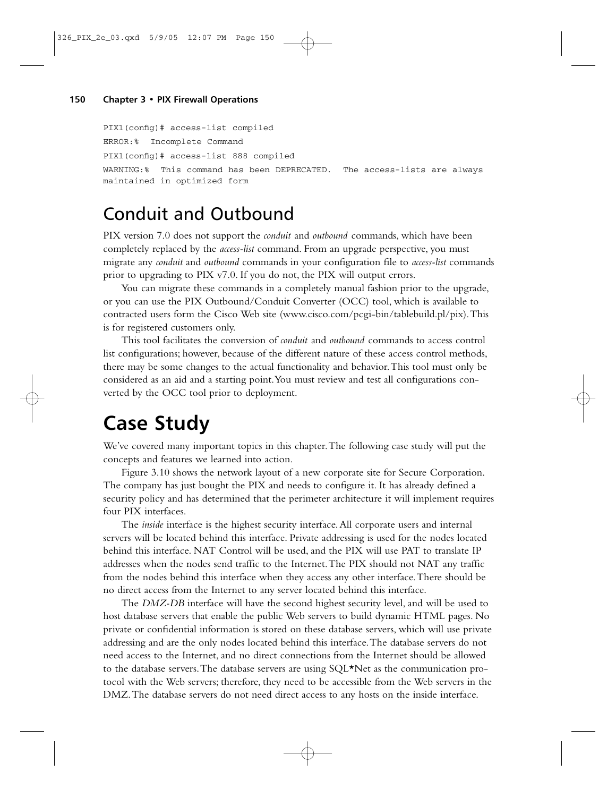PIX1(config)# access-list compiled ERROR:% Incomplete Command PIX1(config)# access-list 888 compiled WARNING:% This command has been DEPRECATED. The access-lists are always maintained in optimized form

### Conduit and Outbound

PIX version 7.0 does not support the *conduit* and *outbound* commands, which have been completely replaced by the *access-list* command. From an upgrade perspective, you must migrate any *conduit* and *outbound* commands in your configuration file to *access-list* commands prior to upgrading to PIX v7.0. If you do not, the PIX will output errors.

You can migrate these commands in a completely manual fashion prior to the upgrade, or you can use the PIX Outbound/Conduit Converter (OCC) tool, which is available to contracted users form the Cisco Web site (www.cisco.com/pcgi-bin/tablebuild.pl/pix).This is for registered customers only.

This tool facilitates the conversion of *conduit* and *outbound* commands to access control list configurations; however, because of the different nature of these access control methods, there may be some changes to the actual functionality and behavior.This tool must only be considered as an aid and a starting point.You must review and test all configurations converted by the OCC tool prior to deployment.

## **Case Study**

We've covered many important topics in this chapter.The following case study will put the concepts and features we learned into action.

Figure 3.10 shows the network layout of a new corporate site for Secure Corporation. The company has just bought the PIX and needs to configure it. It has already defined a security policy and has determined that the perimeter architecture it will implement requires four PIX interfaces.

The *inside* interface is the highest security interface.All corporate users and internal servers will be located behind this interface. Private addressing is used for the nodes located behind this interface. NAT Control will be used, and the PIX will use PAT to translate IP addresses when the nodes send traffic to the Internet.The PIX should not NAT any traffic from the nodes behind this interface when they access any other interface.There should be no direct access from the Internet to any server located behind this interface.

The *DMZ-DB* interface will have the second highest security level, and will be used to host database servers that enable the public Web servers to build dynamic HTML pages. No private or confidential information is stored on these database servers, which will use private addressing and are the only nodes located behind this interface.The database servers do not need access to the Internet, and no direct connections from the Internet should be allowed to the database servers.The database servers are using SQL\*Net as the communication protocol with the Web servers; therefore, they need to be accessible from the Web servers in the DMZ.The database servers do not need direct access to any hosts on the inside interface.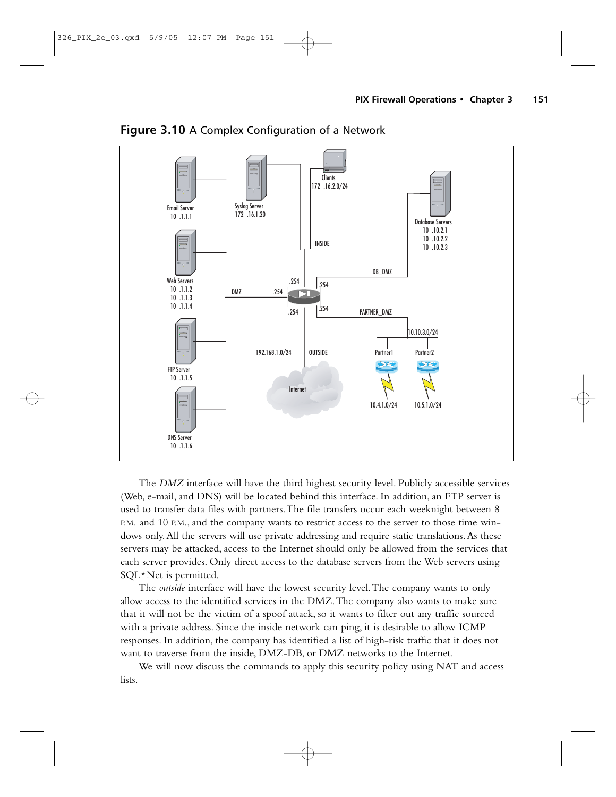

**Figure 3.10** A Complex Configuration of a Network

The *DMZ* interface will have the third highest security level. Publicly accessible services (Web, e-mail, and DNS) will be located behind this interface. In addition, an FTP server is used to transfer data files with partners.The file transfers occur each weeknight between 8 P.M. and 10 P.M., and the company wants to restrict access to the server to those time windows only.All the servers will use private addressing and require static translations.As these servers may be attacked, access to the Internet should only be allowed from the services that each server provides. Only direct access to the database servers from the Web servers using SQL\*Net is permitted.

The *outside* interface will have the lowest security level.The company wants to only allow access to the identified services in the DMZ.The company also wants to make sure that it will not be the victim of a spoof attack, so it wants to filter out any traffic sourced with a private address. Since the inside network can ping, it is desirable to allow ICMP responses. In addition, the company has identified a list of high-risk traffic that it does not want to traverse from the inside, DMZ-DB, or DMZ networks to the Internet.

We will now discuss the commands to apply this security policy using NAT and access lists.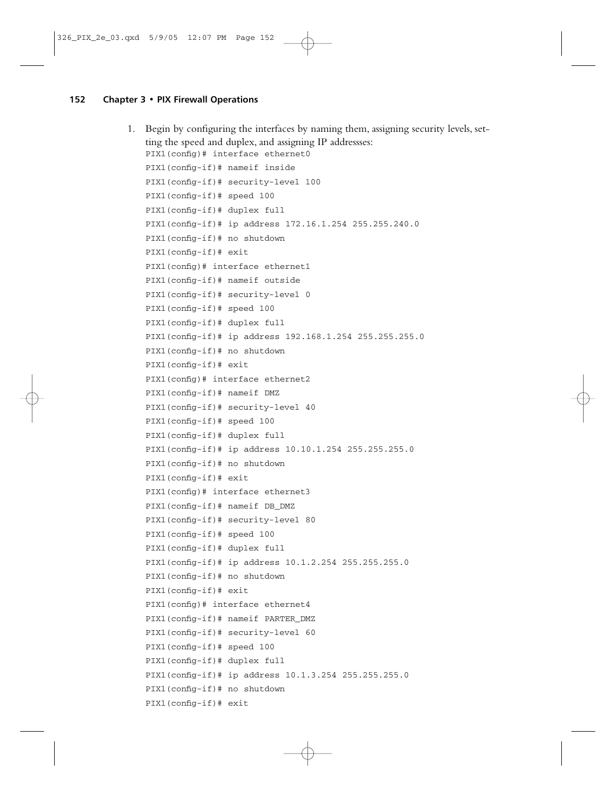#### **152 Chapter 3 • PIX Firewall Operations**

```
1. Begin by configuring the interfaces by naming them, assigning security levels, set-
   ting the speed and duplex, and assigning IP addressses:
   PIX1(config)# interface ethernet0
   PIX1(config-if)# nameif inside
   PIX1(config-if)# security-level 100
   PIX1(config-if)# speed 100
   PIX1(config-if)# duplex full
   PIX1(config-if)# ip address 172.16.1.254 255.255.240.0
   PIX1(config-if)# no shutdown
   PIX1(config-if)# exit
   PIX1(config)# interface ethernet1
   PIX1(config-if)# nameif outside
   PIX1(config-if)# security-level 0
   PIX1(config-if)# speed 100
   PIX1(config-if)# duplex full
   PIX1(config-if)# ip address 192.168.1.254 255.255.255.0
   PIX1(config-if)# no shutdown
   PIX1(config-if)# exit
   PIX1(config)# interface ethernet2
   PIX1(config-if)# nameif DMZ
   PIX1(config-if)# security-level 40
   PIX1(config-if)# speed 100
   PIX1(config-if)# duplex full
   PIX1(config-if)# ip address 10.10.1.254 255.255.255.0
   PIX1(config-if)# no shutdown
   PIX1(config-if)# exit
   PIX1(config)# interface ethernet3
   PIX1(config-if)# nameif DB_DMZ
   PIX1(config-if)# security-level 80
   PIX1(config-if)# speed 100
   PIX1(config-if)# duplex full
   PIX1(config-if)# ip address 10.1.2.254 255.255.255.0
   PIX1(config-if)# no shutdown
   PIX1(config-if)# exit
   PIX1(config)# interface ethernet4
   PIX1(config-if)# nameif PARTER_DMZ
   PIX1(config-if)# security-level 60
   PIX1(config-if)# speed 100
   PIX1(config-if)# duplex full
   PIX1(config-if)# ip address 10.1.3.254 255.255.255.0
   PIX1(config-if)# no shutdown
   PIX1(config-if)# exit
```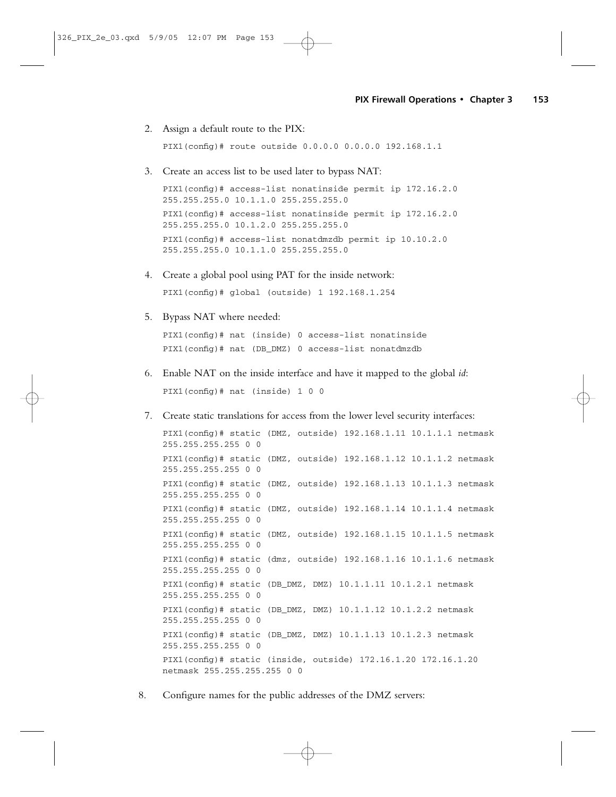2. Assign a default route to the PIX:

PIX1(config)# route outside 0.0.0.0 0.0.0.0 192.168.1.1

3. Create an access list to be used later to bypass NAT:

PIX1(config)# access-list nonatinside permit ip 172.16.2.0 255.255.255.0 10.1.1.0 255.255.255.0 PIX1(config)# access-list nonatinside permit ip 172.16.2.0 255.255.255.0 10.1.2.0 255.255.255.0 PIX1(config)# access-list nonatdmzdb permit ip 10.10.2.0 255.255.255.0 10.1.1.0 255.255.255.0

- 4. Create a global pool using PAT for the inside network: PIX1(config)# global (outside) 1 192.168.1.254
- 5. Bypass NAT where needed:

PIX1(config)# nat (inside) 0 access-list nonatinside PIX1(config)# nat (DB\_DMZ) 0 access-list nonatdmzdb

- 6. Enable NAT on the inside interface and have it mapped to the global *id*: PIX1(config)# nat (inside) 1 0 0
- 7. Create static translations for access from the lower level security interfaces:

PIX1(config)# static (DMZ, outside) 192.168.1.11 10.1.1.1 netmask 255.255.255.255 0 0 PIX1(config)# static (DMZ, outside) 192.168.1.12 10.1.1.2 netmask 255.255.255.255 0 0 PIX1(config)# static (DMZ, outside) 192.168.1.13 10.1.1.3 netmask 255.255.255.255 0 0 PIX1(config)# static (DMZ, outside) 192.168.1.14 10.1.1.4 netmask 255.255.255.255 0 0 PIX1(config)# static (DMZ, outside) 192.168.1.15 10.1.1.5 netmask 255.255.255.255 0 0 PIX1(config)# static (dmz, outside) 192.168.1.16 10.1.1.6 netmask 255.255.255.255 0 0 PIX1(config)# static (DB\_DMZ, DMZ) 10.1.1.11 10.1.2.1 netmask 255.255.255.255 0 0 PIX1(config)# static (DB\_DMZ, DMZ)  $10.1.1.12$   $10.1.2.2$  netmask 255.255.255.255 0 0 PIX1(config)# static (DB\_DMZ, DMZ) 10.1.1.13 10.1.2.3 netmask 255.255.255.255 0 0 PIX1(config)# static (inside, outside) 172.16.1.20 172.16.1.20 netmask 255.255.255.255 0 0

8. Configure names for the public addresses of the DMZ servers: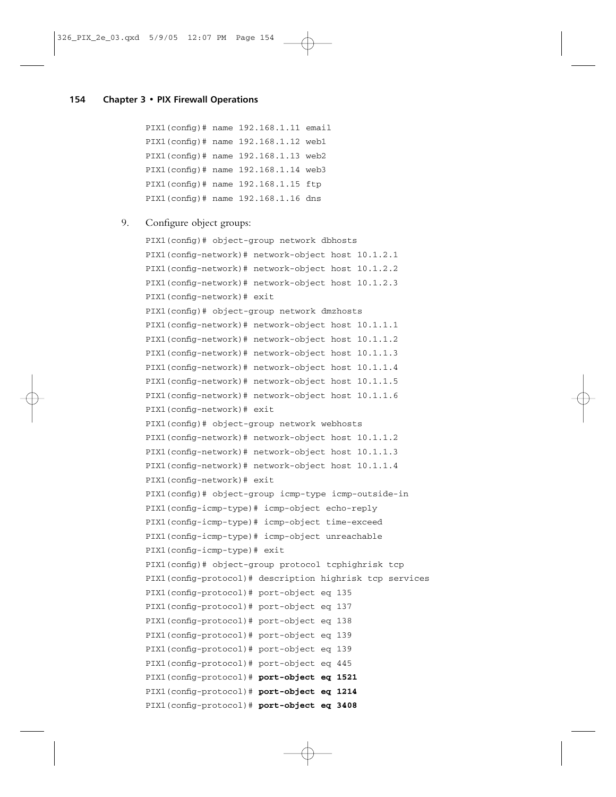```
PIX1(config)# name 192.168.1.11 email
PIX1(config)# name 192.168.1.12 web1
PIX1(config)# name 192.168.1.13 web2
PIX1(config)# name 192.168.1.14 web3
PIX1(config)# name 192.168.1.15 ftp
PIX1(config)# name 192.168.1.16 dns
```
#### 9. Configure object groups:

```
PIX1(config)# object-group network dbhosts
PIX1(config-network)# network-object host 10.1.2.1
PIX1(config-network)# network-object host 10.1.2.2
PIX1(config-network)# network-object host 10.1.2.3
PIX1(config-network)# exit
PIX1(config)# object-group network dmzhosts
PIX1(config-network)# network-object host 10.1.1.1
PIX1(config-network)# network-object host 10.1.1.2
PIX1(config-network)# network-object host 10.1.1.3
PIX1(config-network)# network-object host 10.1.1.4
PIX1(config-network)# network-object host 10.1.1.5
PIX1(config-network)# network-object host 10.1.1.6
PIX1(config-network)# exit
PIX1(config)# object-group network webhosts
PIX1(config-network)# network-object host 10.1.1.2
PIX1(config-network)# network-object host 10.1.1.3
PIX1(config-network)# network-object host 10.1.1.4
PIX1(config-network)# exit
PIX1(config)# object-group icmp-type icmp-outside-in
PIX1(config-icmp-type)# icmp-object echo-reply
PIX1(config-icmp-type)# icmp-object time-exceed
PIX1(config-icmp-type)# icmp-object unreachable
PIX1(config-icmp-type)# exit
PIX1(config)# object-group protocol tcphighrisk tcp
PIX1(config-protocol)# description highrisk tcp services
PIX1(config-protocol)# port-object eq 135
PIX1(config-protocol)# port-object eq 137
PIX1(config-protocol)# port-object eq 138
PIX1(config-protocol)# port-object eq 139
PIX1(config-protocol)# port-object eq 139
PIX1(config-protocol)# port-object eq 445
PIX1(config-protocol)# port-object eq 1521
PIX1(config-protocol)# port-object eq 1214
PIX1(config-protocol)# port-object eq 3408
```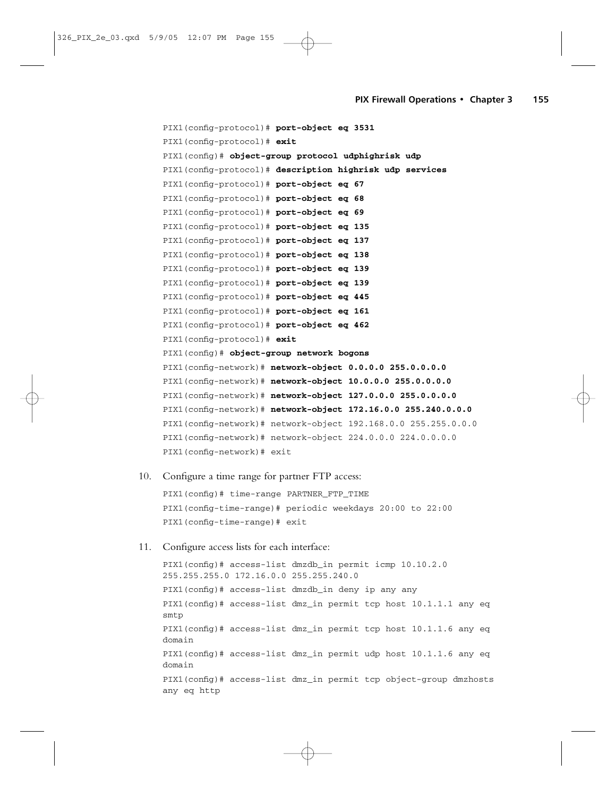```
PIX1(config-protocol)# port-object eq 3531
PIX1(config-protocol)# exit
PIX1(config)# object-group protocol udphighrisk udp
PIX1(config-protocol)# description highrisk udp services
PIX1(config-protocol)# port-object eq 67
PIX1(config-protocol)# port-object eq 68
PIX1(config-protocol)# port-object eq 69
PIX1(config-protocol)# port-object eq 135
PIX1(config-protocol)# port-object eq 137
PIX1(config-protocol)# port-object eq 138
PIX1(config-protocol)# port-object eq 139
PIX1(config-protocol)# port-object eq 139
PIX1(config-protocol)# port-object eq 445
PIX1(config-protocol)# port-object eq 161
PIX1(config-protocol)# port-object eq 462
PIX1(config-protocol)# exit
PIX1(config)# object-group network bogons
PIX1(config-network)# network-object 0.0.0.0 255.0.0.0.0
PIX1(config-network)# network-object 10.0.0.0 255.0.0.0.0
PIX1(config-network)# network-object 127.0.0.0 255.0.0.0.0
PIX1(config-network)# network-object 172.16.0.0 255.240.0.0.0
PIX1(config-network)# network-object 192.168.0.0 255.255.0.0.0
PIX1(config-network)# network-object 224.0.0.0 224.0.0.0.0
PIX1(config-network)# exit
```
#### 10. Configure a time range for partner FTP access:

PIX1(config)# time-range PARTNER\_FTP\_TIME PIX1(config-time-range)# periodic weekdays 20:00 to 22:00 PIX1(config-time-range)# exit

11. Configure access lists for each interface:

```
PIX1(config)# access-list dmzdb_in permit icmp 10.10.2.0
255.255.255.0 172.16.0.0 255.255.240.0
PIX1(config)# access-list dmzdb_in deny ip any any
PIX1(config)# access-list dmz_in permit tcp host 10.1.1.1 any eq
smtp
PIX1(config)# access-list dmz_in permit tcp host 10.1.1.6 any eq
domain
PIX1(config)# access-list dmz_in permit udp host 10.1.1.6 any eq
domain
PIX1(config)# access-list dmz_in permit tcp object-group dmzhosts
any eq http
```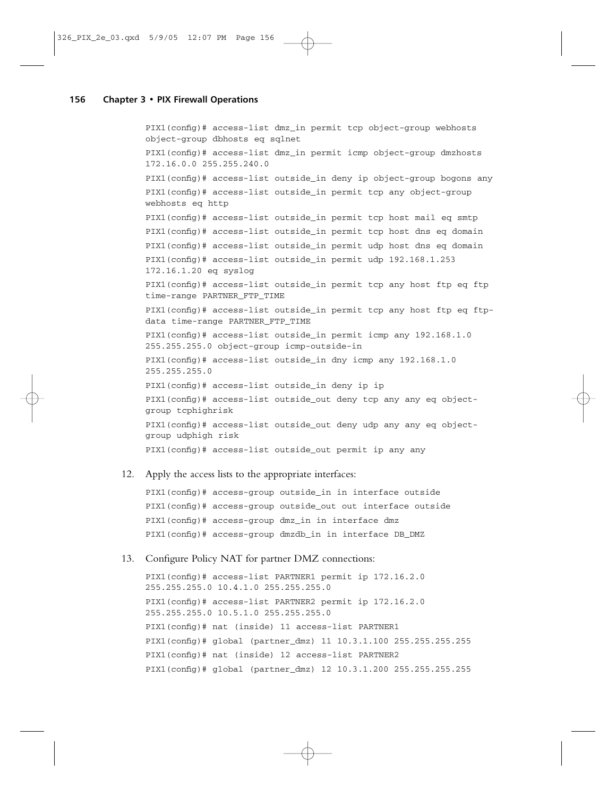```
PIX1(config)# access-list dmz_in permit tcp object-group webhosts
object-group dbhosts eq sqlnet
PIX1(config)# access-list dmz_in permit icmp object-group dmzhosts
172.16.0.0 255.255.240.0
PIX1(config)# access-list outside_in deny ip object-group bogons any
PIX1(config)# access-list outside_in permit tcp any object-group
webhosts eq http
PIX1(config)# access-list outside_in permit tcp host mail eq smtp
PIX1(config)# access-list outside_in permit tcp host dns eq domain
PIX1(config)# access-list outside_in permit udp host dns eq domain
PIX1(config)# access-list outside_in permit udp 192.168.1.253
172.16.1.20 eq syslog
PIX1(config)# access-list outside_in permit tcp any host ftp eq ftp
time-range PARTNER_FTP_TIME
PIX1(config)# access-list outside_in permit tcp any host ftp eq ftp-
data time-range PARTNER_FTP_TIME
PIX1(config)# access-list outside_in permit icmp any 192.168.1.0
255.255.255.0 object-group icmp-outside-in
PIX1(config)# access-list outside_in dny icmp any 192.168.1.0
255.255.255.0
PIX1(config)# access-list outside_in deny ip ip
PIX1(config)# access-list outside_out deny tcp any any eq object-
group tcphighrisk
PIX1(config)# access-list outside_out deny udp any any eq object-
group udphigh risk
PIX1(config)# access-list outside_out permit ip any any
```
#### 12. Apply the access lists to the appropriate interfaces:

PIX1(config)# access-group outside\_in in interface outside PIX1(config)# access-group outside\_out out interface outside PIX1(config)# access-group dmz\_in in interface dmz PIX1(config)# access-group dmzdb\_in in interface DB\_DMZ

13. Configure Policy NAT for partner DMZ connections:

PIX1(config)# access-list PARTNER1 permit ip 172.16.2.0 255.255.255.0 10.4.1.0 255.255.255.0 PIX1(config)# access-list PARTNER2 permit ip 172.16.2.0 255.255.255.0 10.5.1.0 255.255.255.0 PIX1(config)# nat (inside) 11 access-list PARTNER1 PIX1(config)# global (partner\_dmz) 11 10.3.1.100 255.255.255.255 PIX1(config)# nat (inside) 12 access-list PARTNER2 PIX1(config)# global (partner\_dmz) 12 10.3.1.200 255.255.255.255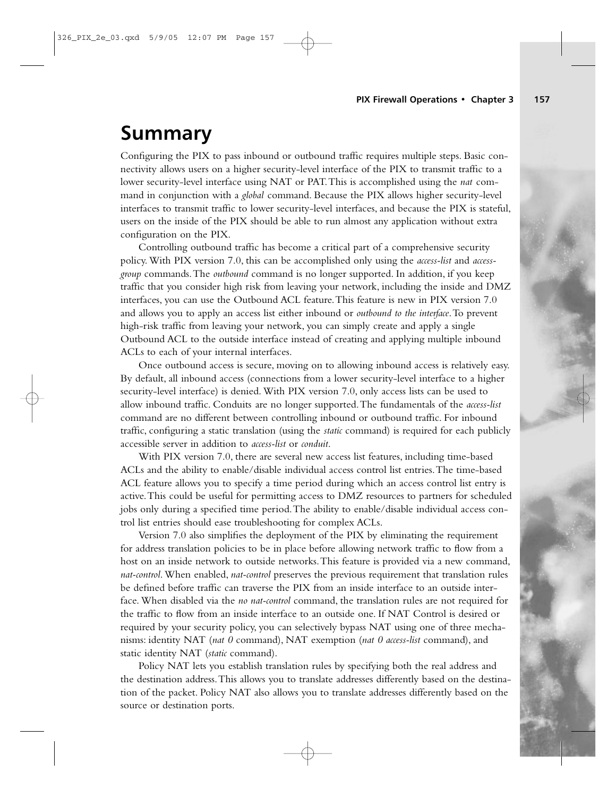## **Summary**

Configuring the PIX to pass inbound or outbound traffic requires multiple steps. Basic connectivity allows users on a higher security-level interface of the PIX to transmit traffic to a lower security-level interface using NAT or PAT.This is accomplished using the *nat* command in conjunction with a *global* command. Because the PIX allows higher security-level interfaces to transmit traffic to lower security-level interfaces, and because the PIX is stateful, users on the inside of the PIX should be able to run almost any application without extra configuration on the PIX.

Controlling outbound traffic has become a critical part of a comprehensive security policy. With PIX version 7.0, this can be accomplished only using the *access-list* and *accessgroup* commands.The *outbound* command is no longer supported. In addition, if you keep traffic that you consider high risk from leaving your network, including the inside and DMZ interfaces, you can use the Outbound ACL feature.This feature is new in PIX version 7.0 and allows you to apply an access list either inbound or *outbound to the interface*.To prevent high-risk traffic from leaving your network, you can simply create and apply a single Outbound ACL to the outside interface instead of creating and applying multiple inbound ACLs to each of your internal interfaces.

Once outbound access is secure, moving on to allowing inbound access is relatively easy. By default, all inbound access (connections from a lower security-level interface to a higher security-level interface) is denied. With PIX version 7.0, only access lists can be used to allow inbound traffic. Conduits are no longer supported.The fundamentals of the *access-list* command are no different between controlling inbound or outbound traffic. For inbound traffic, configuring a static translation (using the *static* command) is required for each publicly accessible server in addition to *access-list* or *conduit*.

With PIX version 7.0, there are several new access list features, including time-based ACLs and the ability to enable/disable individual access control list entries.The time-based ACL feature allows you to specify a time period during which an access control list entry is active.This could be useful for permitting access to DMZ resources to partners for scheduled jobs only during a specified time period.The ability to enable/disable individual access control list entries should ease troubleshooting for complex ACLs.

Version 7.0 also simplifies the deployment of the PIX by eliminating the requirement for address translation policies to be in place before allowing network traffic to flow from a host on an inside network to outside networks.This feature is provided via a new command, *nat-control*. When enabled, *nat-control* preserves the previous requirement that translation rules be defined before traffic can traverse the PIX from an inside interface to an outside interface. When disabled via the *no nat-control* command, the translation rules are not required for the traffic to flow from an inside interface to an outside one. If NAT Control is desired or required by your security policy, you can selectively bypass NAT using one of three mechanisms: identity NAT (*nat 0* command), NAT exemption (*nat 0 access-list* command), and static identity NAT (*static* command).

Policy NAT lets you establish translation rules by specifying both the real address and the destination address.This allows you to translate addresses differently based on the destination of the packet. Policy NAT also allows you to translate addresses differently based on the source or destination ports.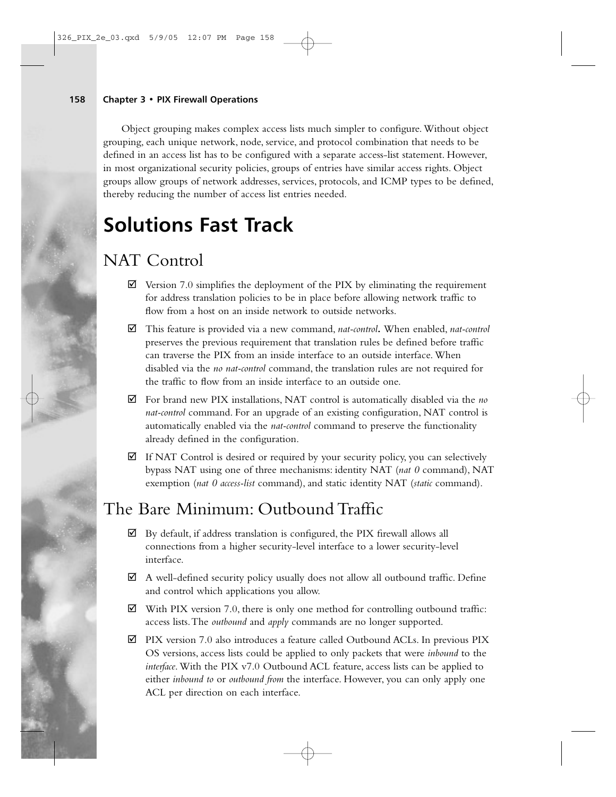Object grouping makes complex access lists much simpler to configure. Without object grouping, each unique network, node, service, and protocol combination that needs to be defined in an access list has to be configured with a separate access-list statement. However, in most organizational security policies, groups of entries have similar access rights. Object groups allow groups of network addresses, services, protocols, and ICMP types to be defined, thereby reducing the number of access list entries needed.

## **Solutions Fast Track**

### NAT Control

- $\boxtimes$  Version 7.0 simplifies the deployment of the PIX by eliminating the requirement for address translation policies to be in place before allowing network traffic to flow from a host on an inside network to outside networks.
- This feature is provided via a new command, *nat-control***.** When enabled, *nat-control* preserves the previous requirement that translation rules be defined before traffic can traverse the PIX from an inside interface to an outside interface. When disabled via the *no nat-control* command, the translation rules are not required for the traffic to flow from an inside interface to an outside one.
- For brand new PIX installations, NAT control is automatically disabled via the *no nat-control* command. For an upgrade of an existing configuration, NAT control is automatically enabled via the *nat-control* command to preserve the functionality already defined in the configuration.
- $\boxtimes$  If NAT Control is desired or required by your security policy, you can selectively bypass NAT using one of three mechanisms: identity NAT (*nat 0* command), NAT exemption (*nat 0 access-list* command), and static identity NAT (*static* command).

### The Bare Minimum: Outbound Traffic

- $\boxtimes$  By default, if address translation is configured, the PIX firewall allows all connections from a higher security-level interface to a lower security-level interface.
- $\boxtimes$  A well-defined security policy usually does not allow all outbound traffic. Define and control which applications you allow.
- $\boxtimes$  With PIX version 7.0, there is only one method for controlling outbound traffic: access lists.The *outbound* and *apply* commands are no longer supported.
- $\boxtimes$  PIX version 7.0 also introduces a feature called Outbound ACLs. In previous PIX OS versions, access lists could be applied to only packets that were *inbound* to the *interface*. With the PIX v7.0 Outbound ACL feature, access lists can be applied to either *inbound to* or *outbound from* the interface. However, you can only apply one ACL per direction on each interface.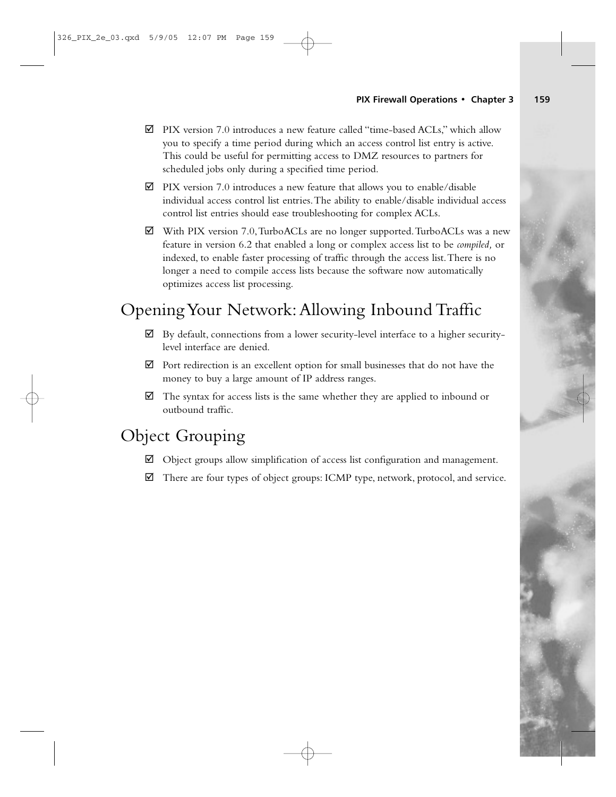- PIX version 7.0 introduces a new feature called "time-based ACLs," which allow you to specify a time period during which an access control list entry is active. This could be useful for permitting access to DMZ resources to partners for scheduled jobs only during a specified time period.
- $\boxtimes$  PIX version 7.0 introduces a new feature that allows you to enable/disable individual access control list entries.The ability to enable/disable individual access control list entries should ease troubleshooting for complex ACLs.
- $\boxtimes$  With PIX version 7.0, TurboACLs are no longer supported. TurboACLs was a new feature in version 6.2 that enabled a long or complex access list to be *compiled,* or indexed, to enable faster processing of traffic through the access list.There is no longer a need to compile access lists because the software now automatically optimizes access list processing.

### Opening Your Network:Allowing Inbound Traffic

- $\boxtimes$  By default, connections from a lower security-level interface to a higher securitylevel interface are denied.
- $\boxtimes$  Port redirection is an excellent option for small businesses that do not have the money to buy a large amount of IP address ranges.
- $\boxtimes$  The syntax for access lists is the same whether they are applied to inbound or outbound traffic.

### Object Grouping

- $\boxtimes$  Object groups allow simplification of access list configuration and management.
- $\boxtimes$  There are four types of object groups: ICMP type, network, protocol, and service.